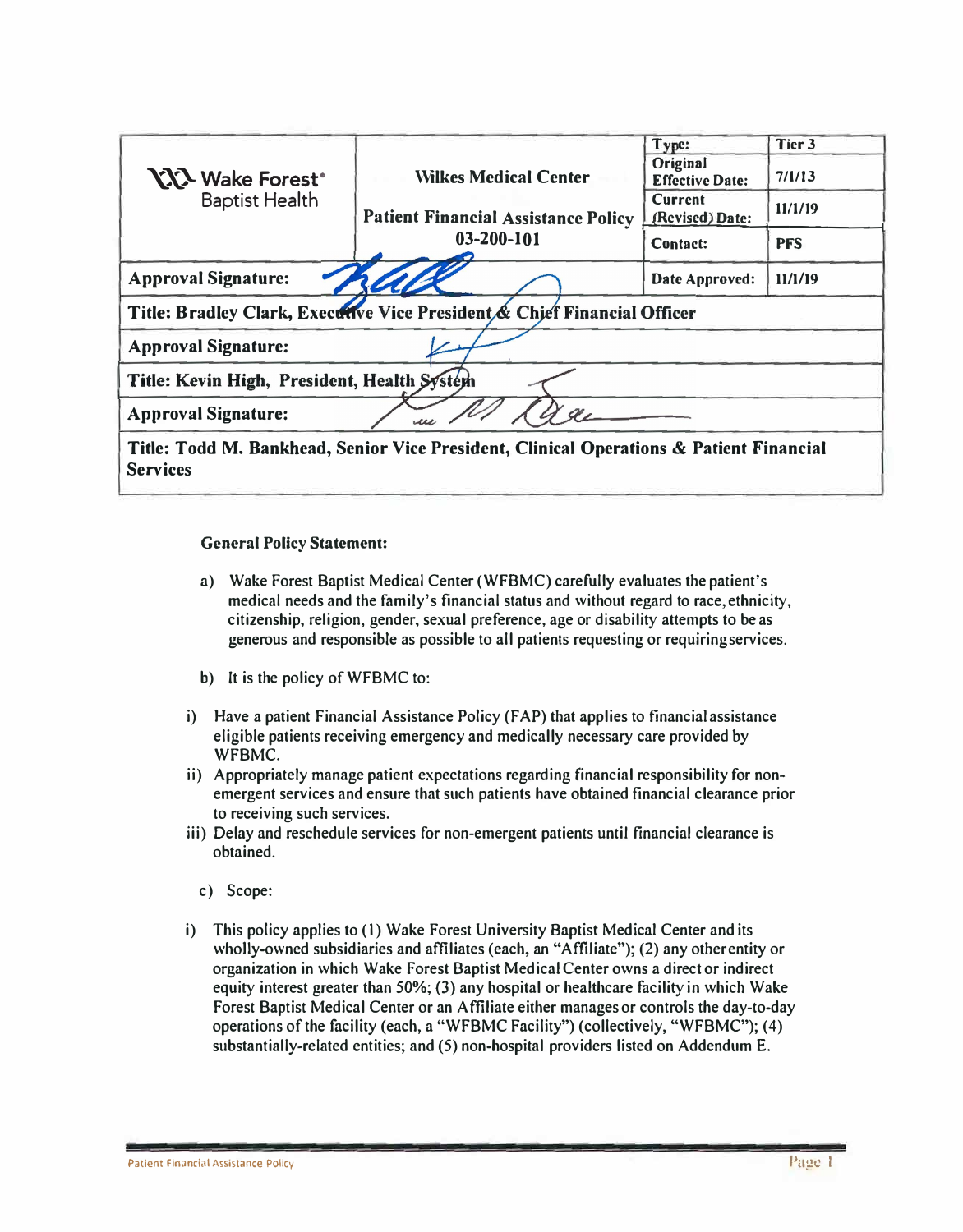|                                             |                                                                                         | Type:                              | Tier 3     |
|---------------------------------------------|-----------------------------------------------------------------------------------------|------------------------------------|------------|
| <b>YYY Wake Forest</b> <sup>*</sup>         | <b>Wilkes Medical Center</b>                                                            | Original<br><b>Effective Date:</b> | 7/1/13     |
| <b>Baptist Health</b>                       | <b>Patient Financial Assistance Policy</b>                                              | <b>Current</b><br>(Revised) Date:  | 11/1/19    |
|                                             | 03-200-101                                                                              | <b>Contact:</b>                    | <b>PFS</b> |
| <b>Approval Signature:</b>                  |                                                                                         | Date Approved:                     | 11/1/19    |
|                                             | Title: Bradley Clark, Executive Vice President & Chief Financial Officer                |                                    |            |
| <b>Approval Signature:</b>                  |                                                                                         |                                    |            |
| Title: Kevin High, President, Health System |                                                                                         |                                    |            |
| <b>Approval Signature:</b>                  |                                                                                         |                                    |            |
| <b>Services</b>                             | Title: Todd M. Bankhead, Senior Vice President, Clinical Operations & Patient Financial |                                    |            |

### **General Policy Statement:**

- **a) Wake Forest Baptist Medical Center (WFBMC) carefully evaluates the patient's medical needs and the family's financial status and without regard to race,ethnicity, citizenship, religion, gender, sexual preference, age or disability attempts to be as generous and responsible as possible to all patients requesting or requiring services.**
- **b) It is the policy of WFBMC to:**
- **i) Have a patient Financial Assistance Policy (f AP) that applies to financial assistance eligible patients receiving emergency and medically necessary care provided by WFBMC.**
- **ii) Appropriately manage patient expectations regarding financial responsibility for nonemergent services and ensure that such patients have obtained financial clearance prior to receiving such services.**
- **iii) Delay and reschedule services for non-emergent patients until financial clearance is obtained.**
	- **c) Scope:**
- **i) This policy applies to (I) Wake Forest University Baptist Medical Center and its wholly-owned subsidiaries and affiliates (each, an "Affiliate"); (2) any other entity or organization in which Wake Forest Baptist Medical Center owns a direct or indirect equity interest greater than 50%; (3) any hospital or healthcare facility in which Wake Forest Baptist Medical Center or an Affiliate either manages or controls the day-to-day operations of the facility (each, a "WFBMC Facility") (collectively, "WFBMC"); (4) substantially-related entities; and (5) non-hospital providers listed on Addendum E.**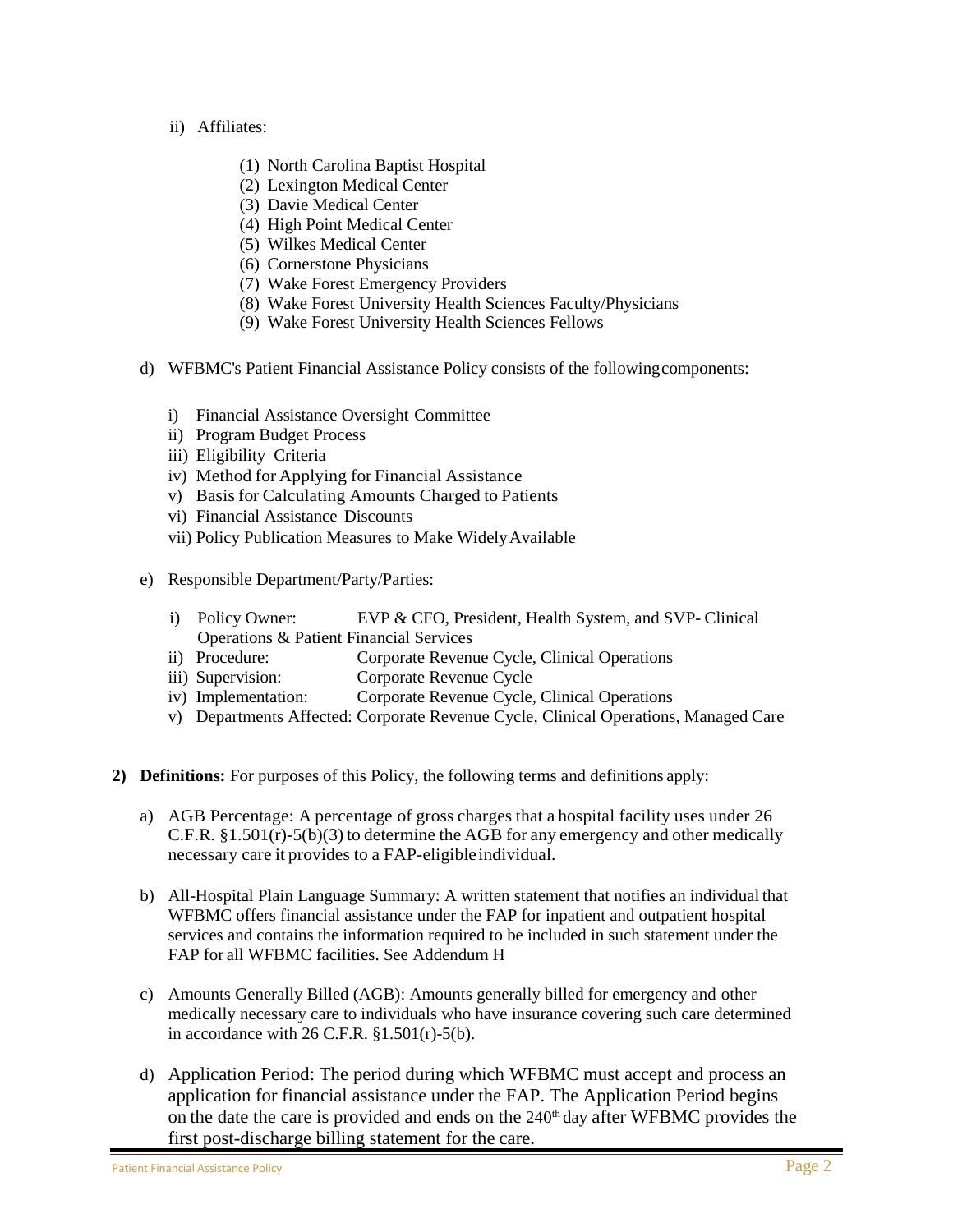- ii) Affiliates:
	- (1) North Carolina Baptist Hospital
	- (2) Lexington Medical Center
	- (3) Davie Medical Center
	- (4) High Point Medical Center
	- (5) Wilkes Medical Center
	- (6) Cornerstone Physicians
	- (7) Wake Forest Emergency Providers
	- (8) Wake Forest University Health Sciences Faculty/Physicians
	- (9) Wake Forest University Health Sciences Fellows
- d) WFBMC's Patient Financial Assistance Policy consists of the followingcomponents:
	- i) Financial Assistance Oversight Committee
	- ii) Program Budget Process
	- iii) Eligibility Criteria
	- iv) Method for Applying for Financial Assistance
	- v) Basisfor Calculating Amounts Charged to Patients
	- vi) Financial Assistance Discounts
	- vii) Policy Publication Measures to Make WidelyAvailable
- e) Responsible Department/Party/Parties:
	- i) Policy Owner: EVP & CFO, President, Health System, and SVP- Clinical Operations & Patient Financial Services
	- ii) Procedure: Corporate Revenue Cycle, Clinical Operations
	- iii) Supervision: Corporate Revenue Cycle
	- iv) Implementation: Corporate Revenue Cycle, Clinical Operations
	- v) Departments Affected: Corporate Revenue Cycle, Clinical Operations, Managed Care
- **2) Definitions:** For purposes of this Policy, the following terms and definitions apply:
	- a) AGB Percentage: A percentage of gross charges that a hospital facility uses under 26 C.F.R. §1.501(r)-5(b)(3) to determine the AGB for any emergency and other medically necessary care it provides to a FAP-eligible individual.
	- b) All-Hospital Plain Language Summary: A written statement that notifies an individual that WFBMC offers financial assistance under the FAP for inpatient and outpatient hospital services and contains the information required to be included in such statement under the FAP for all WFBMC facilities. See Addendum H
	- c) Amounts Generally Billed (AGB): Amounts generally billed for emergency and other medically necessary care to individuals who have insurance covering such care determined in accordance with  $26$  C.F.R.  $$1.501(r)-5(b)$ .
	- d) Application Period: The period during which WFBMC must accept and process an application for financial assistance under the FAP. The Application Period begins on the date the care is provided and ends on the 240<sup>th</sup> day after WFBMC provides the first post-discharge billing statement for the care.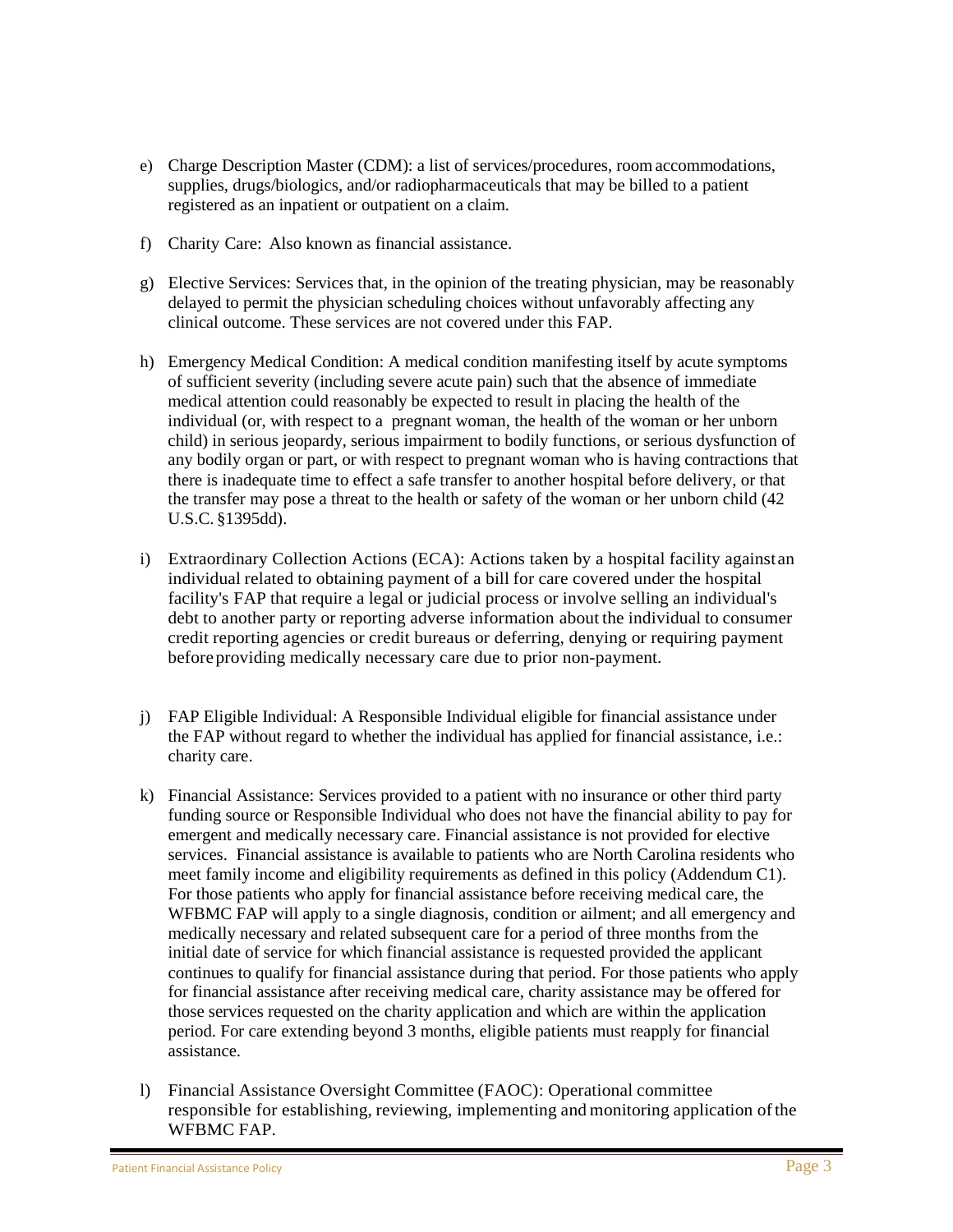- e) Charge Description Master (CDM): a list of services/procedures, roomaccommodations, supplies, drugs/biologics, and/or radiopharmaceuticals that may be billed to a patient registered as an inpatient or outpatient on a claim.
- f) Charity Care: Also known as financial assistance.
- g) Elective Services: Services that, in the opinion of the treating physician, may be reasonably delayed to permit the physician scheduling choices without unfavorably affecting any clinical outcome. These services are not covered under this FAP.
- h) Emergency Medical Condition: A medical condition manifesting itself by acute symptoms of sufficient severity (including severe acute pain) such that the absence of immediate medical attention could reasonably be expected to result in placing the health of the individual (or, with respect to a pregnant woman, the health of the woman or her unborn child) in serious jeopardy, serious impairment to bodily functions, or serious dysfunction of any bodily organ or part, or with respect to pregnant woman who is having contractions that there is inadequate time to effect a safe transfer to another hospital before delivery, or that the transfer may pose a threat to the health or safety of the woman or her unborn child (42 U.S.C. §1395dd).
- i) Extraordinary Collection Actions (ECA): Actions taken by a hospital facility againstan individual related to obtaining payment of a bill for care covered under the hospital facility's FAP that require a legal or judicial process or involve selling an individual's debt to another party or reporting adverse information about the individual to consumer credit reporting agencies or credit bureaus or deferring, denying or requiring payment before providing medically necessary care due to prior non-payment.
- j) FAP Eligible Individual: A Responsible Individual eligible for financial assistance under the FAP without regard to whether the individual has applied for financial assistance, i.e.: charity care.
- k) Financial Assistance: Services provided to a patient with no insurance or other third party funding source or Responsible Individual who does not have the financial ability to pay for emergent and medically necessary care. Financial assistance is not provided for elective services. Financial assistance is available to patients who are North Carolina residents who meet family income and eligibility requirements as defined in this policy (Addendum C1). For those patients who apply for financial assistance before receiving medical care, the WFBMC FAP will apply to a single diagnosis, condition or ailment; and all emergency and medically necessary and related subsequent care for a period of three months from the initial date of service for which financial assistance is requested provided the applicant continues to qualify for financial assistance during that period. For those patients who apply for financial assistance after receiving medical care, charity assistance may be offered for those services requested on the charity application and which are within the application period. For care extending beyond 3 months, eligible patients must reapply for financial assistance.
- l) Financial Assistance Oversight Committee (FAOC): Operational committee responsible for establishing, reviewing, implementing and monitoring application ofthe WFBMC FAP.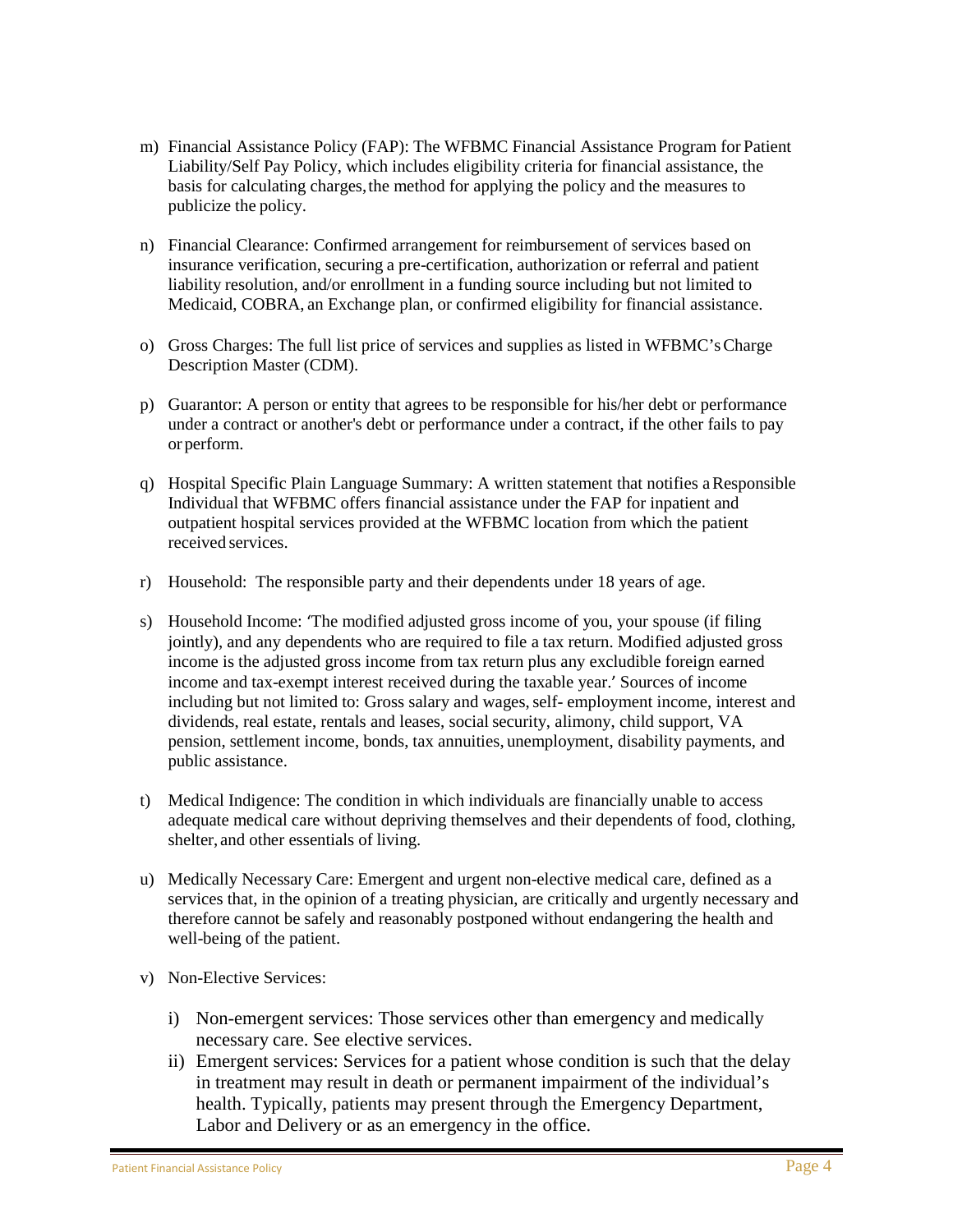- m) Financial Assistance Policy (FAP): The WFBMC Financial Assistance Program for Patient Liability/Self Pay Policy, which includes eligibility criteria for financial assistance, the basis for calculating charges, the method for applying the policy and the measures to publicize the policy.
- n) Financial Clearance: Confirmed arrangement for reimbursement of services based on insurance verification, securing a pre-certification, authorization or referral and patient liability resolution, and/or enrollment in a funding source including but not limited to Medicaid, COBRA, an Exchange plan, or confirmed eligibility for financial assistance.
- o) Gross Charges: The full list price of services and supplies as listed in WFBMC'sCharge Description Master (CDM).
- p) Guarantor: A person or entity that agrees to be responsible for his/her debt or performance under a contract or another's debt or performance under a contract, if the other fails to pay orperform.
- q) Hospital Specific Plain Language Summary: A written statement that notifies aResponsible Individual that WFBMC offers financial assistance under the FAP for inpatient and outpatient hospital services provided at the WFBMC location from which the patient received services.
- r) Household: The responsible party and their dependents under 18 years of age.
- s) Household Income: 'The modified adjusted gross income of you, your spouse (if filing jointly), and any dependents who are required to file a tax return. Modified adjusted gross income is the adjusted gross income from tax return plus any excludible foreign earned income and tax-exempt interest received during the taxable year.' Sources of income including but not limited to: Gross salary and wages, self- employment income, interest and dividends, real estate, rentals and leases, social security, alimony, child support, VA pension, settlement income, bonds, tax annuities, unemployment, disability payments, and public assistance.
- t) Medical Indigence: The condition in which individuals are financially unable to access adequate medical care without depriving themselves and their dependents of food, clothing, shelter, and other essentials of living.
- u) Medically Necessary Care: Emergent and urgent non-elective medical care, defined as a services that, in the opinion of a treating physician, are critically and urgently necessary and therefore cannot be safely and reasonably postponed without endangering the health and well-being of the patient.
- v) Non-Elective Services:
	- i) Non-emergent services: Those services other than emergency and medically necessary care. See elective services.
	- ii) Emergent services: Services for a patient whose condition is such that the delay in treatment may result in death or permanent impairment of the individual's health. Typically, patients may present through the Emergency Department, Labor and Delivery or as an emergency in the office.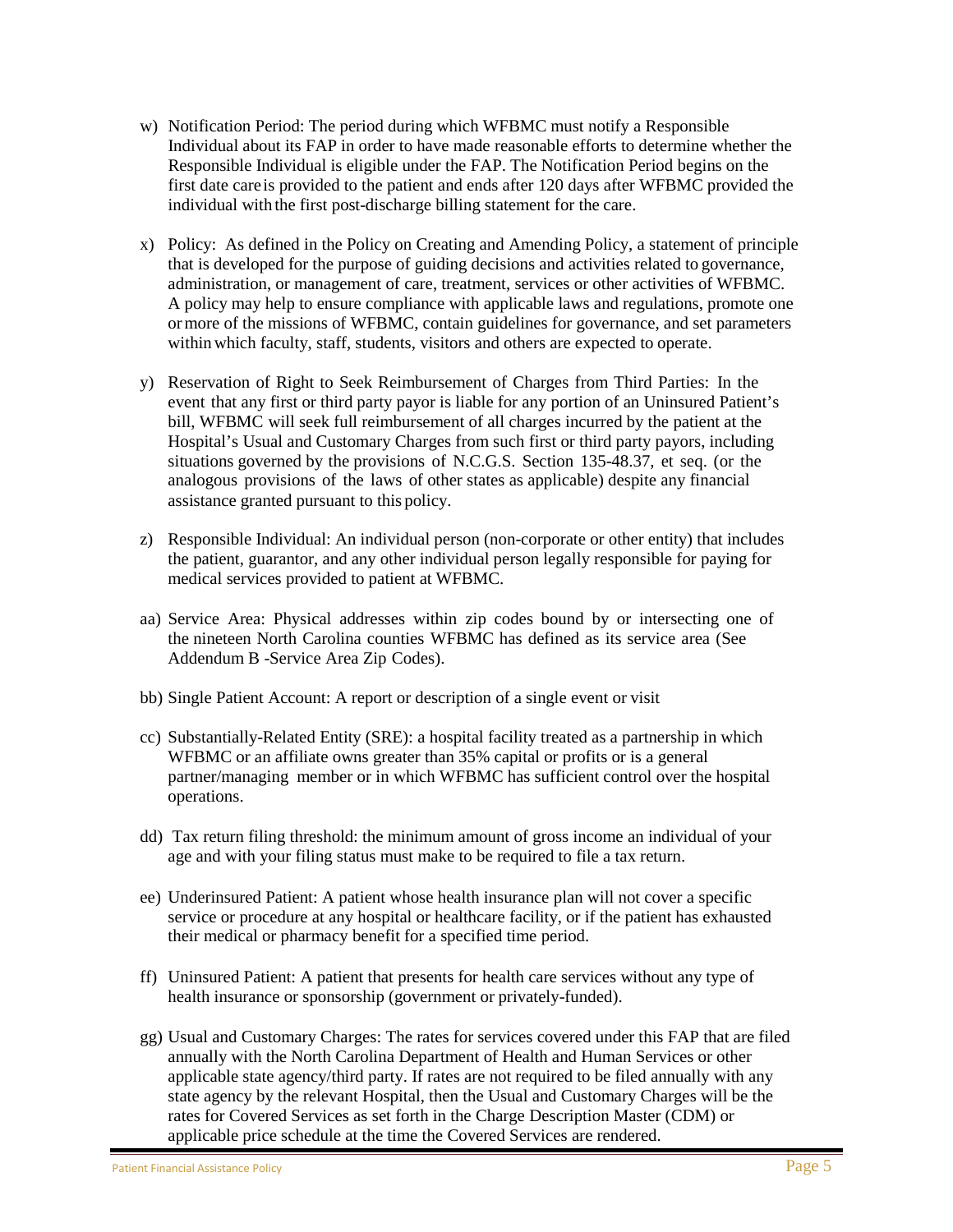- w) Notification Period: The period during which WFBMC must notify a Responsible Individual about its FAP in order to have made reasonable efforts to determine whether the Responsible Individual is eligible under the FAP. The Notification Period begins on the first date careis provided to the patient and ends after 120 days after WFBMC provided the individual with the first post-discharge billing statement for the care.
- x) Policy: As defined in the Policy on Creating and Amending Policy, a statement of principle that is developed for the purpose of guiding decisions and activities related to governance, administration, or management of care, treatment, services or other activities of WFBMC. A policy may help to ensure compliance with applicable laws and regulations, promote one ormore of the missions of WFBMC, contain guidelines for governance, and set parameters withinwhich faculty, staff, students, visitors and others are expected to operate.
- y) Reservation of Right to Seek Reimbursement of Charges from Third Parties: In the event that any first or third party payor is liable for any portion of an Uninsured Patient's bill, WFBMC will seek full reimbursement of all charges incurred by the patient at the Hospital's Usual and Customary Charges from such first or third party payors, including situations governed by the provisions of N.C.G.S. Section 135-48.37, et seq. (or the analogous provisions of the laws of other states as applicable) despite any financial assistance granted pursuant to this policy.
- z) Responsible Individual: An individual person (non-corporate or other entity) that includes the patient, guarantor, and any other individual person legally responsible for paying for medical services provided to patient at WFBMC.
- aa) Service Area: Physical addresses within zip codes bound by or intersecting one of the nineteen North Carolina counties WFBMC has defined as its service area (See Addendum B -Service Area Zip Codes).
- bb) Single Patient Account: A report or description of a single event or visit
- cc) Substantially-Related Entity (SRE): a hospital facility treated as a partnership in which WFBMC or an affiliate owns greater than 35% capital or profits or is a general partner/managing member or in which WFBMC has sufficient control over the hospital operations.
- dd) Tax return filing threshold: the minimum amount of gross income an individual of your age and with your filing status must make to be required to file a tax return.
- ee) Underinsured Patient: A patient whose health insurance plan will not cover a specific service or procedure at any hospital or healthcare facility, or if the patient has exhausted their medical or pharmacy benefit for a specified time period.
- ff) Uninsured Patient: A patient that presents for health care services without any type of health insurance or sponsorship (government or privately-funded).
- gg) Usual and Customary Charges: The rates for services covered under this FAP that are filed annually with the North Carolina Department of Health and Human Services or other applicable state agency/third party. If rates are not required to be filed annually with any state agency by the relevant Hospital, then the Usual and Customary Charges will be the rates for Covered Services as set forth in the Charge Description Master (CDM) or applicable price schedule at the time the Covered Services are rendered.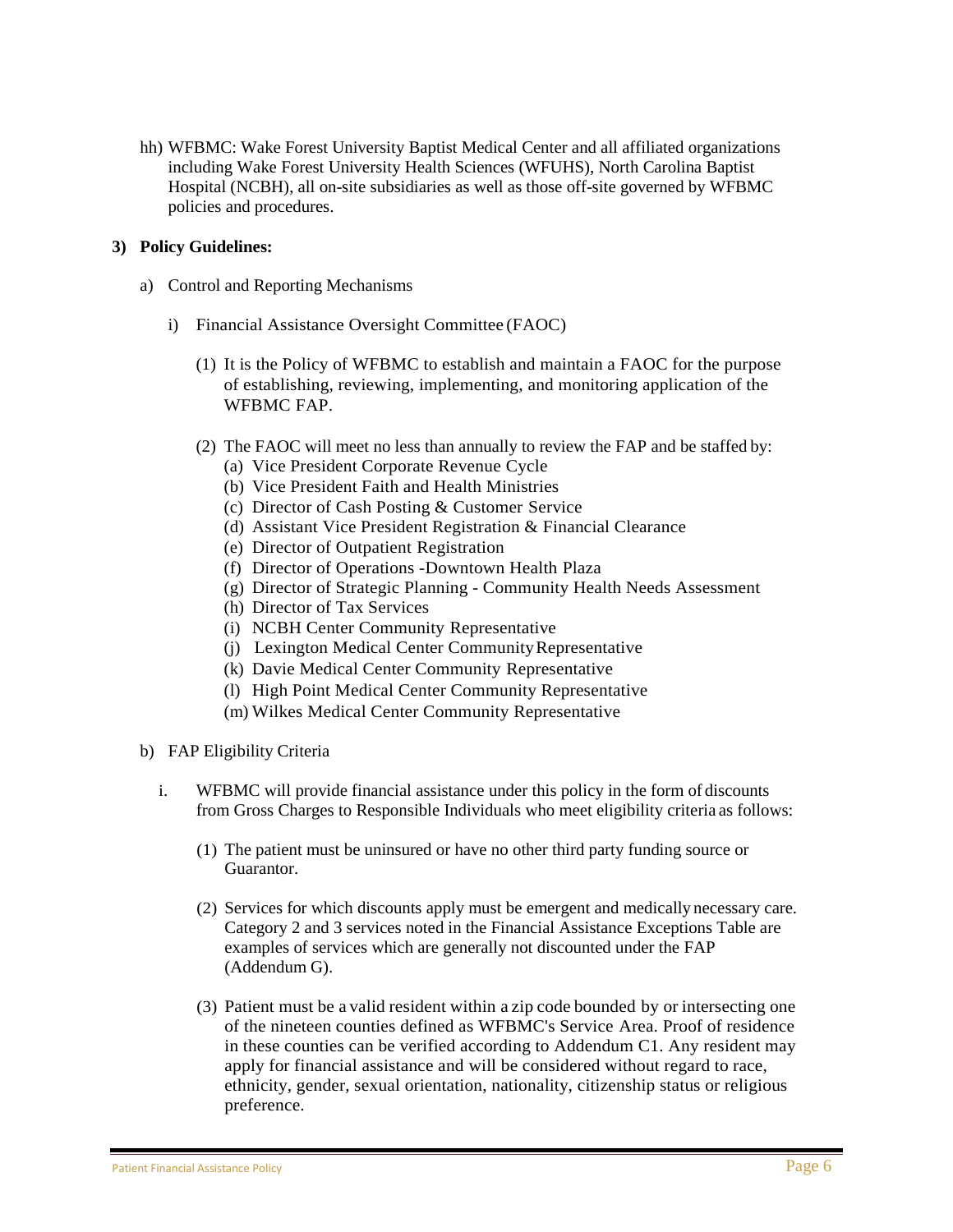hh) WFBMC: Wake Forest University Baptist Medical Center and all affiliated organizations including Wake Forest University Health Sciences (WFUHS), North Carolina Baptist Hospital (NCBH), all on-site subsidiaries as well as those off-site governed by WFBMC policies and procedures.

### **3) Policy Guidelines:**

- a) Control and Reporting Mechanisms
	- i) Financial Assistance Oversight Committee (FAOC)
		- (1) It is the Policy of WFBMC to establish and maintain a FAOC for the purpose of establishing, reviewing, implementing, and monitoring application of the WFBMC FAP.
		- (2) The FAOC will meet no less than annually to review the FAP and be staffed by:
			- (a) Vice President Corporate Revenue Cycle
			- (b) Vice President Faith and Health Ministries
			- (c) Director of Cash Posting & Customer Service
			- (d) Assistant Vice President Registration & Financial Clearance
			- (e) Director of Outpatient Registration
			- (f) Director of Operations -Downtown Health Plaza
			- (g) Director of Strategic Planning Community Health Needs Assessment
			- (h) Director of Tax Services
			- (i) NCBH Center Community Representative
			- (j) Lexington Medical Center CommunityRepresentative
			- (k) Davie Medical Center Community Representative
			- (l) High Point Medical Center Community Representative
			- (m) Wilkes Medical Center Community Representative
- b) FAP Eligibility Criteria
	- i. WFBMC will provide financial assistance under this policy in the form of discounts from Gross Charges to Responsible Individuals who meet eligibility criteria as follows:
		- (1) The patient must be uninsured or have no other third party funding source or Guarantor.
		- (2) Services for which discounts apply must be emergent and medically necessary care. Category 2 and 3 services noted in the Financial Assistance Exceptions Table are examples of services which are generally not discounted under the FAP (Addendum G).
		- (3) Patient must be a valid resident within a zip code bounded by or intersecting one of the nineteen counties defined as WFBMC's Service Area. Proof of residence in these counties can be verified according to Addendum C1. Any resident may apply for financial assistance and will be considered without regard to race, ethnicity, gender, sexual orientation, nationality, citizenship status or religious preference.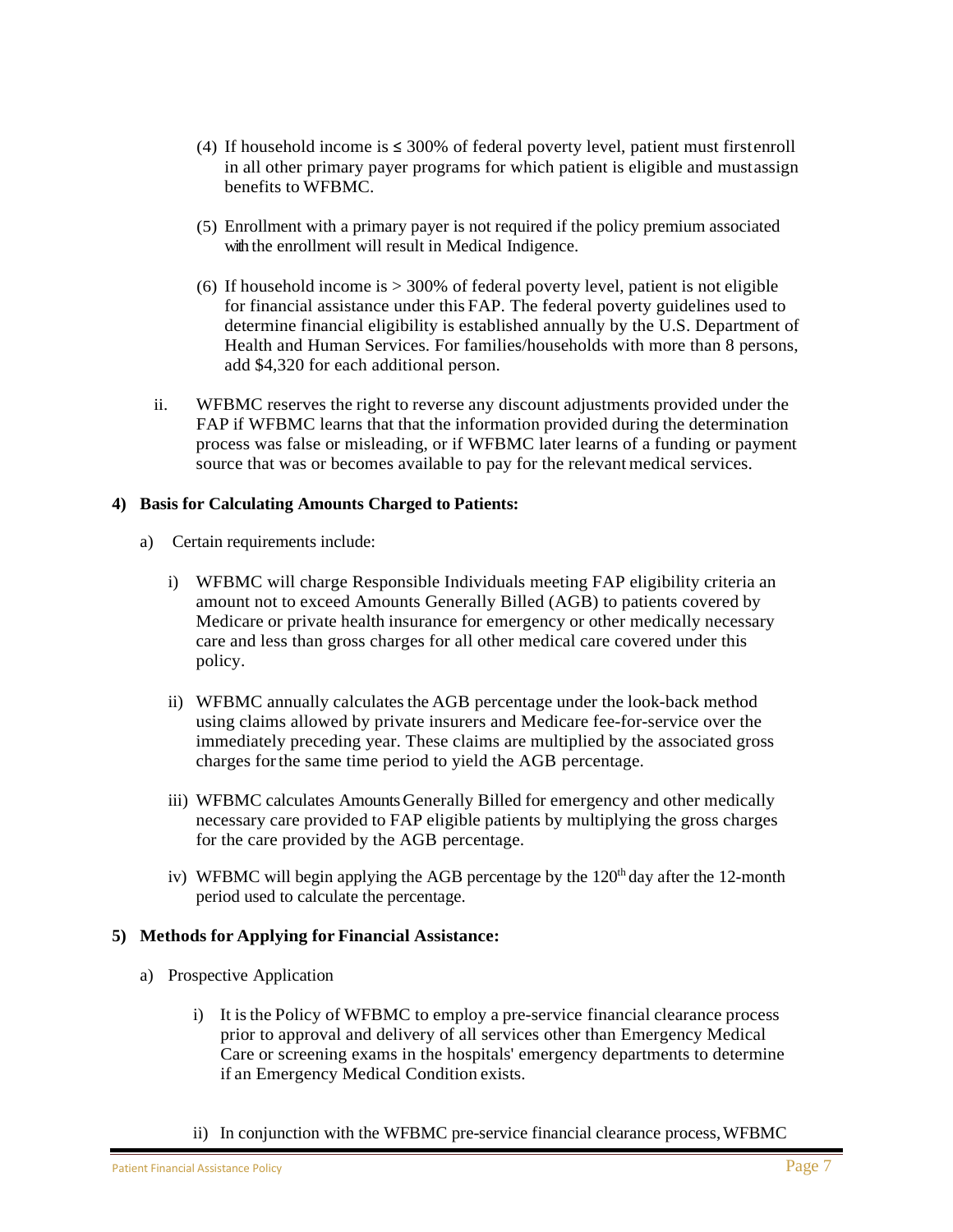- (4) If household income is  $\leq 300\%$  of federal poverty level, patient must firstenroll in all other primary payer programs for which patient is eligible and mustassign benefits to WFBMC.
- (5) Enrollment with a primary payer is not required if the policy premium associated with the enrollment will result in Medical Indigence.
- (6) If household income is  $>$  300% of federal poverty level, patient is not eligible for financial assistance under this FAP. The federal poverty guidelines used to determine financial eligibility is established annually by the U.S. Department of Health and Human Services. For families/households with more than 8 persons, add \$4,320 for each additional person.
- ii. WFBMC reserves the right to reverse any discount adjustments provided under the FAP if WFBMC learns that that the information provided during the determination process was false or misleading, or if WFBMC later learns of a funding or payment source that was or becomes available to pay for the relevant medical services.

### **4) Basis for Calculating Amounts Charged to Patients:**

- a) Certain requirements include:
	- i) WFBMC will charge Responsible Individuals meeting FAP eligibility criteria an amount not to exceed Amounts Generally Billed (AGB) to patients covered by Medicare or private health insurance for emergency or other medically necessary care and less than gross charges for all other medical care covered under this policy.
	- ii) WFBMC annually calculates the AGB percentage under the look-back method using claims allowed by private insurers and Medicare fee-for-service over the immediately preceding year. These claims are multiplied by the associated gross charges forthe same time period to yield the AGB percentage.
	- iii) WFBMC calculates AmountsGenerally Billed for emergency and other medically necessary care provided to FAP eligible patients by multiplying the gross charges for the care provided by the AGB percentage.
	- iv) WFBMC will begin applying the AGB percentage by the  $120<sup>th</sup>$  day after the 12-month period used to calculate the percentage.

### **5) Methods for Applying for Financial Assistance:**

- a) Prospective Application
	- i) It isthe Policy of WFBMC to employ a pre-service financial clearance process prior to approval and delivery of all services other than Emergency Medical Care or screening exams in the hospitals' emergency departments to determine if an Emergency Medical Condition exists.
	- ii) In conjunction with the WFBMC pre-service financial clearance process,WFBMC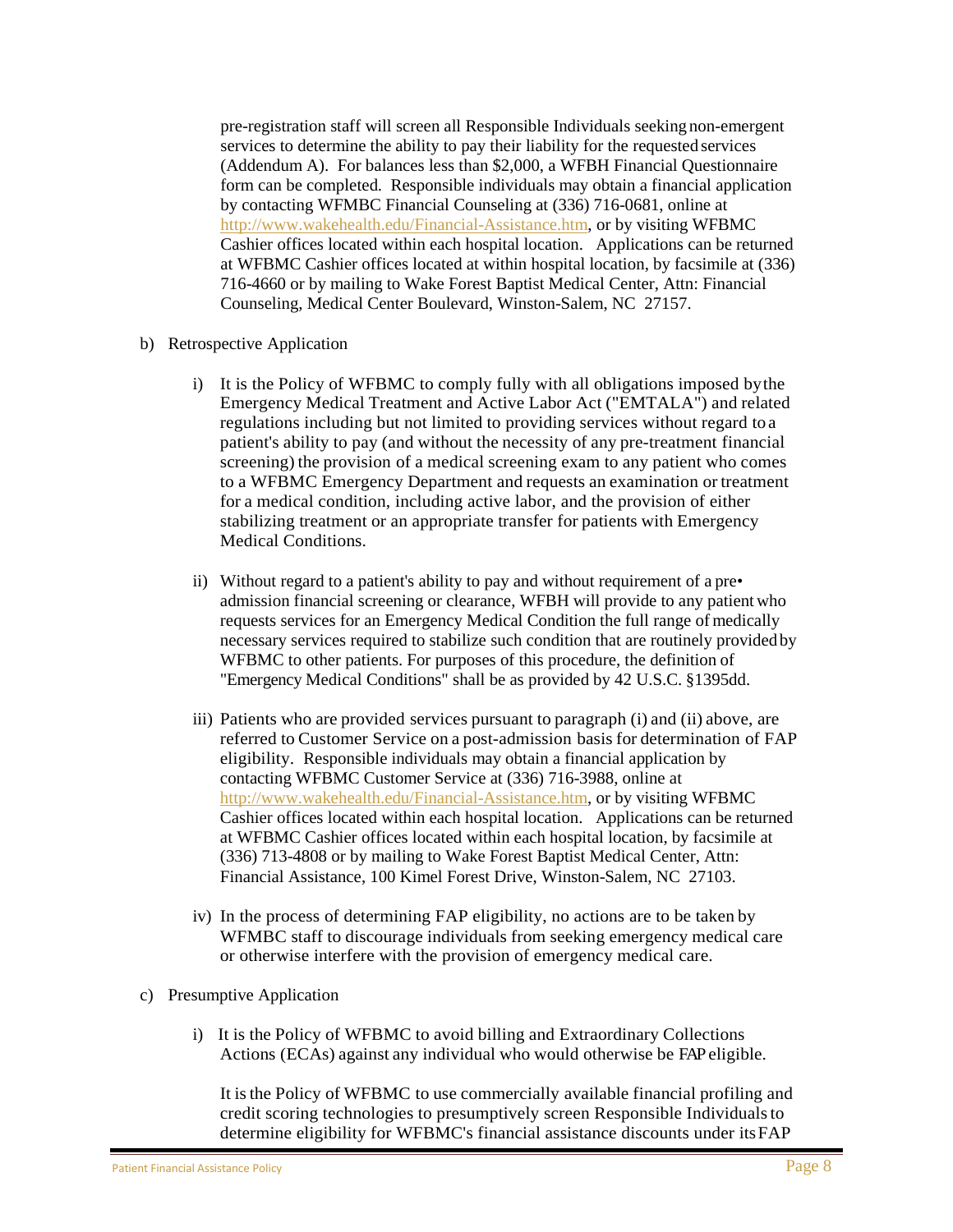pre-registration staff will screen all Responsible Individuals seeking non-emergent services to determine the ability to pay their liability for the requested services (Addendum A). For balances less than \$2,000, a WFBH Financial Questionnaire form can be completed. Responsible individuals may obtain a financial application by contacting WFMBC Financial Counseling at (336) 716-0681, online at [http://www.wakehealth.edu/Financial-Assistance.htm,](http://www.wakehealth.edu/Financial-Assistance.htm) or by visiting WFBMC Cashier offices located within each hospital location. Applications can be returned at WFBMC Cashier offices located at within hospital location, by facsimile at (336) 716-4660 or by mailing to Wake Forest Baptist Medical Center, Attn: Financial Counseling, Medical Center Boulevard, Winston-Salem, NC 27157.

- b) Retrospective Application
	- i) It is the Policy of WFBMC to comply fully with all obligations imposed bythe Emergency Medical Treatment and Active Labor Act ("EMTALA") and related regulations including but not limited to providing services without regard to a patient's ability to pay (and without the necessity of any pre-treatment financial screening) the provision of a medical screening exam to any patient who comes to a WFBMC Emergency Department and requests an examination or treatment for a medical condition, including active labor, and the provision of either stabilizing treatment or an appropriate transfer for patients with Emergency Medical Conditions.
	- ii) Without regard to a patient's ability to pay and without requirement of a pre• admission financial screening or clearance, WFBH will provide to any patient who requests services for an Emergency Medical Condition the full range of medically necessary services required to stabilize such condition that are routinely providedby WFBMC to other patients. For purposes of this procedure, the definition of "Emergency Medical Conditions" shall be as provided by 42 U.S.C. §1395dd.
	- iii) Patients who are provided services pursuant to paragraph (i) and (ii) above, are referred to Customer Service on a post-admission basis for determination of FAP eligibility. Responsible individuals may obtain a financial application by contacting WFBMC Customer Service at (336) 716-3988, online at [http://www.wakehealth.edu/Financial-Assistance.htm,](http://www.wakehealth.edu/Financial-Assistance.htm) or by visiting WFBMC Cashier offices located within each hospital location. Applications can be returned at WFBMC Cashier offices located within each hospital location, by facsimile at (336) 713-4808 or by mailing to Wake Forest Baptist Medical Center, Attn: Financial Assistance, 100 Kimel Forest Drive, Winston-Salem, NC 27103.
	- iv) In the process of determining FAP eligibility, no actions are to be taken by WFMBC staff to discourage individuals from seeking emergency medical care or otherwise interfere with the provision of emergency medical care.
- c) Presumptive Application
	- i) It is the Policy of WFBMC to avoid billing and Extraordinary Collections Actions (ECAs) against any individual who would otherwise be FAPeligible.

It isthe Policy of WFBMC to use commercially available financial profiling and credit scoring technologies to presumptively screen Responsible Individualsto determine eligibility for WFBMC's financial assistance discounts under itsFAP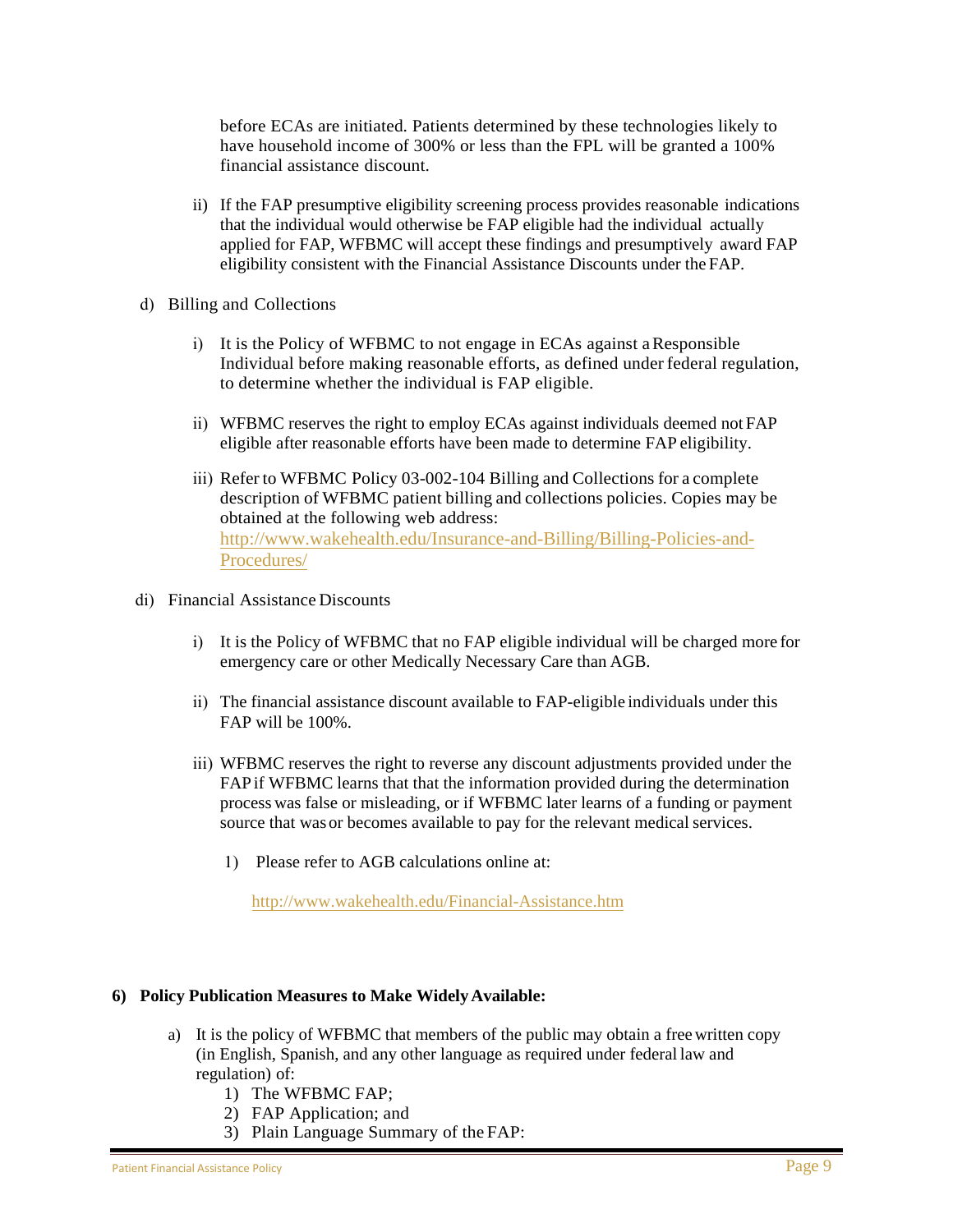before ECAs are initiated. Patients determined by these technologies likely to have household income of 300% or less than the FPL will be granted a 100% financial assistance discount.

- ii) If the FAP presumptive eligibility screening process provides reasonable indications that the individual would otherwise be FAP eligible had the individual actually applied for FAP, WFBMC will accept these findings and presumptively award FAP eligibility consistent with the Financial Assistance Discounts under the FAP.
- d) Billing and Collections
	- i) It is the Policy of WFBMC to not engage in ECAs against aResponsible Individual before making reasonable efforts, as defined under federal regulation, to determine whether the individual is FAP eligible.
	- ii) WFBMC reserves the right to employ ECAs against individuals deemed not FAP eligible after reasonable efforts have been made to determine FAP eligibility.
	- iii) Refer to WFBMC Policy 03-002-104 Billing and Collections for a complete description of WFBMC patient billing and collections policies. Copies may be obtained at the following web address: [http://www.wakehealth.edu/Insurance-and-Billing/Billing-Policies-and-](http://www.wakehealth.edu/Insurance-and-Billing/Billing-Policies-and-Procedures/)[Procedures/](http://www.wakehealth.edu/Insurance-and-Billing/Billing-Policies-and-Procedures/)
- di) Financial Assistance Discounts
	- i) It is the Policy of WFBMC that no FAP eligible individual will be charged more for emergency care or other Medically Necessary Care than AGB.
	- ii) The financial assistance discount available to FAP-eligible individuals under this FAP will be 100%.
	- iii) WFBMC reserves the right to reverse any discount adjustments provided under the FAP if WFBMC learns that that the information provided during the determination process was false or misleading, or if WFBMC later learns of a funding or payment source that was or becomes available to pay for the relevant medical services.
		- 1) Please refer to AGB calculations online at:

http://www.wakehealth.edu/Financial-Assistance.htm

### **6) Policy Publication Measures to Make Widely Available:**

- a) It is the policy of WFBMC that members of the public may obtain a free written copy (in English, Spanish, and any other language as required under federal law and regulation) of:
	- 1) The WFBMC FAP;
	- 2) FAP Application; and
	- 3) Plain Language Summary of the FAP: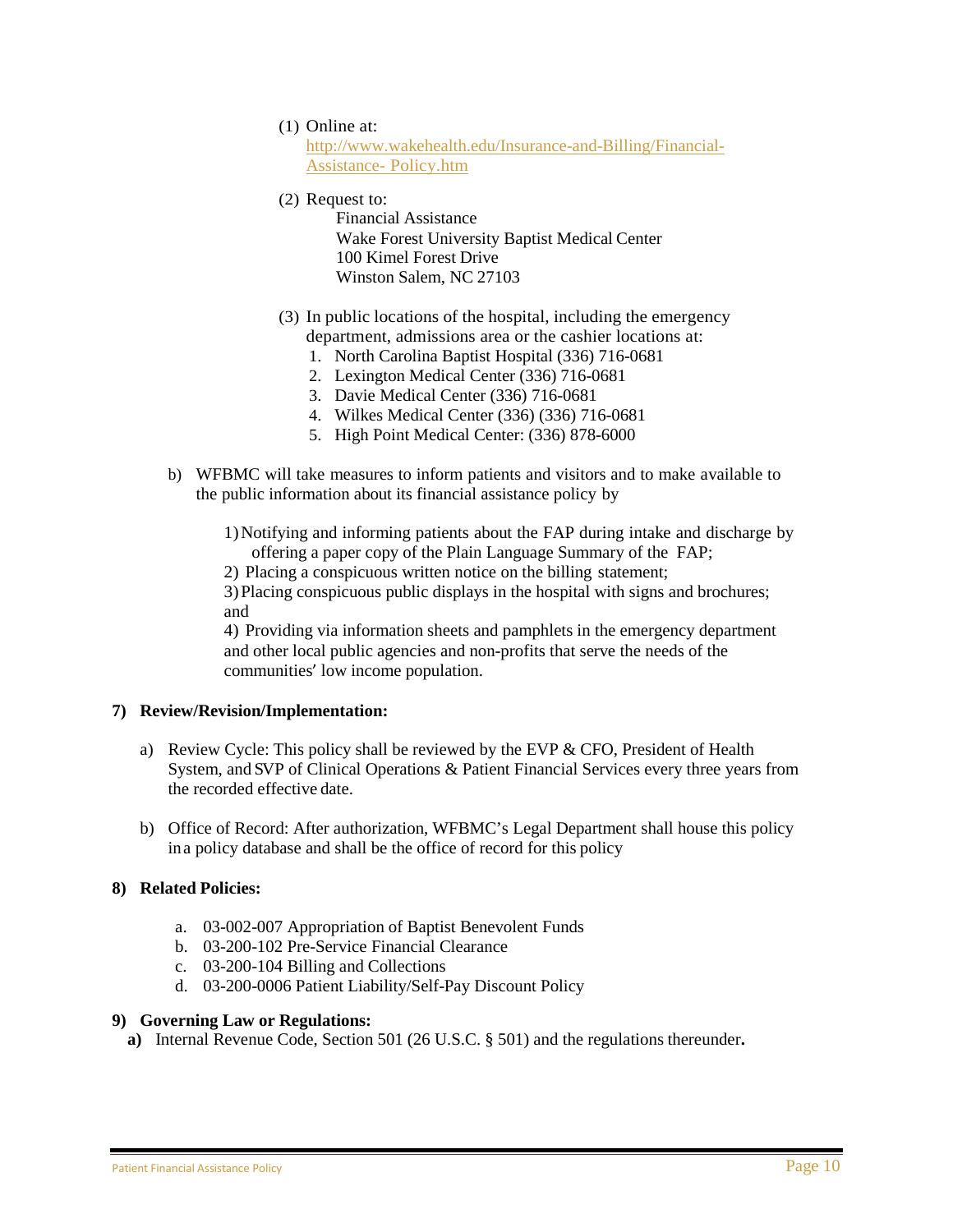(1) Online at:

[http://www.wakehealth.edu/Insurance-and-Billing/Financial-](http://www.wakehealth.edu/Insurance-and-Billing/Financial-Assistance-Policy.htm)[Assistance- Policy.htm](http://www.wakehealth.edu/Insurance-and-Billing/Financial-Assistance-Policy.htm)

(2) Request to:

Financial Assistance Wake Forest University Baptist Medical Center 100 Kimel Forest Drive Winston Salem, NC 27103

- (3) In public locations of the hospital, including the emergency department, admissions area or the cashier locations at:
	- 1. North Carolina Baptist Hospital (336) 716-0681
	- 2. Lexington Medical Center (336) 716-0681
	- 3. Davie Medical Center (336) 716-0681
	- 4. Wilkes Medical Center (336) (336) 716-0681
	- 5. High Point Medical Center: (336) 878-6000
- b) WFBMC will take measures to inform patients and visitors and to make available to the public information about its financial assistance policy by

1)Notifying and informing patients about the FAP during intake and discharge by offering a paper copy of the Plain Language Summary of the FAP;

2) Placing a conspicuous written notice on the billing statement;

3)Placing conspicuous public displays in the hospital with signs and brochures; and

4) Providing via information sheets and pamphlets in the emergency department and other local public agencies and non-profits that serve the needs of the communities' low income population.

### **7) Review/Revision/Implementation:**

- a) Review Cycle: This policy shall be reviewed by the EVP  $&$  CFO, President of Health System, and SVP of Clinical Operations & Patient Financial Services every three years from the recorded effective date.
- b) Office of Record: After authorization, WFBMC's Legal Department shall house this policy ina policy database and shall be the office of record for this policy

### **8) Related Policies:**

- a. 03-002-007 Appropriation of Baptist Benevolent Funds
- b. 03-200-102 Pre-Service Financial Clearance
- c. 03-200-104 Billing and Collections
- d. 03-200-0006 Patient Liability/Self-Pay Discount Policy

### **9) Governing Law or Regulations:**

**a)** Internal Revenue Code, Section 501 (26 U.S.C. § 501) and the regulations thereunder**.**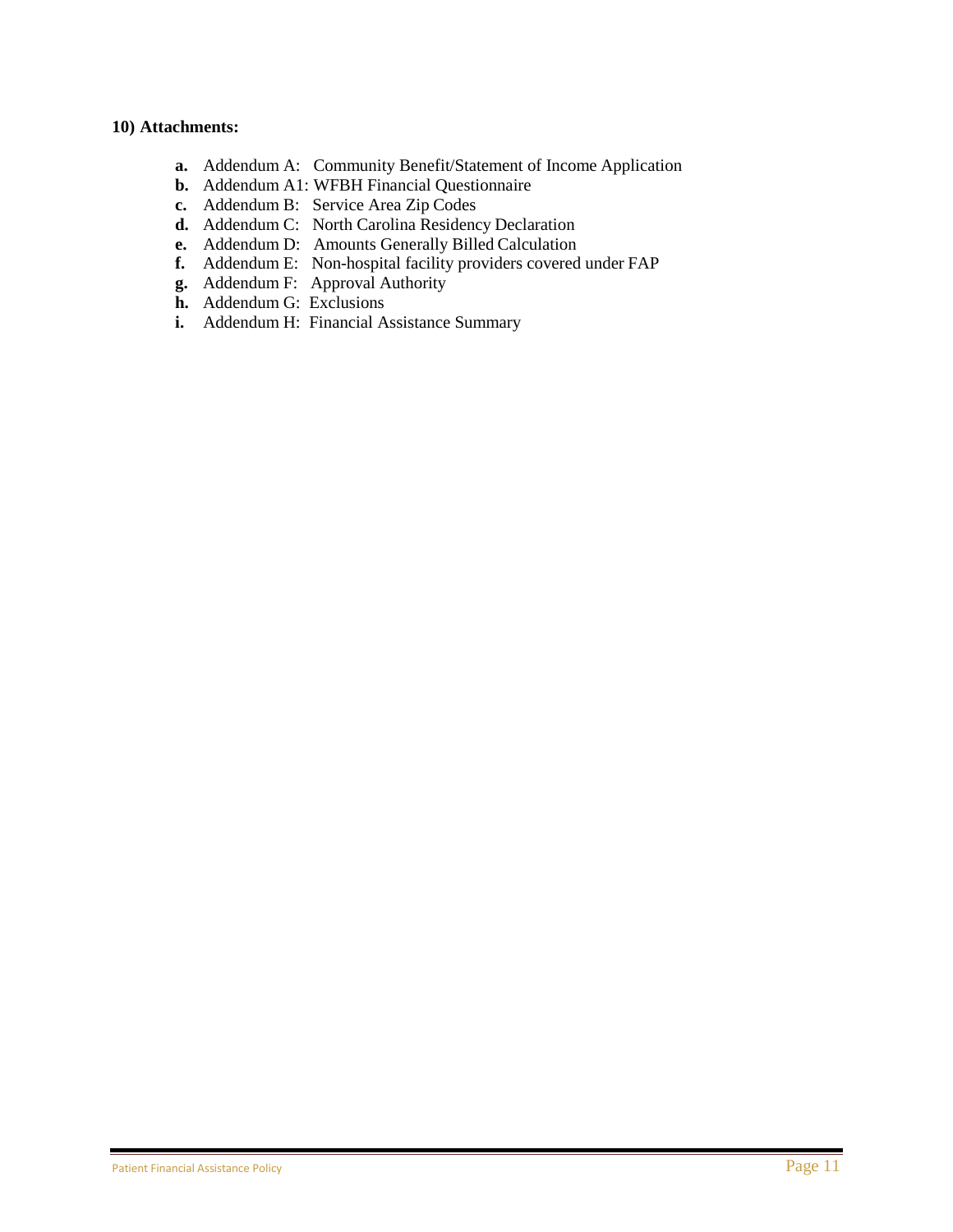### **10) Attachments:**

- **a.** Addendum A: Community Benefit/Statement of Income Application
- **b.** Addendum A1: WFBH Financial Questionnaire
- **c.** Addendum B: Service Area Zip Codes
- **d.** Addendum C: North Carolina Residency Declaration
- **e.** Addendum D: Amounts Generally Billed Calculation
- **f.** Addendum E: Non-hospital facility providers covered under FAP
- **g.** Addendum F: Approval Authority
- **h.** Addendum G: Exclusions
- **i.** Addendum H: Financial Assistance Summary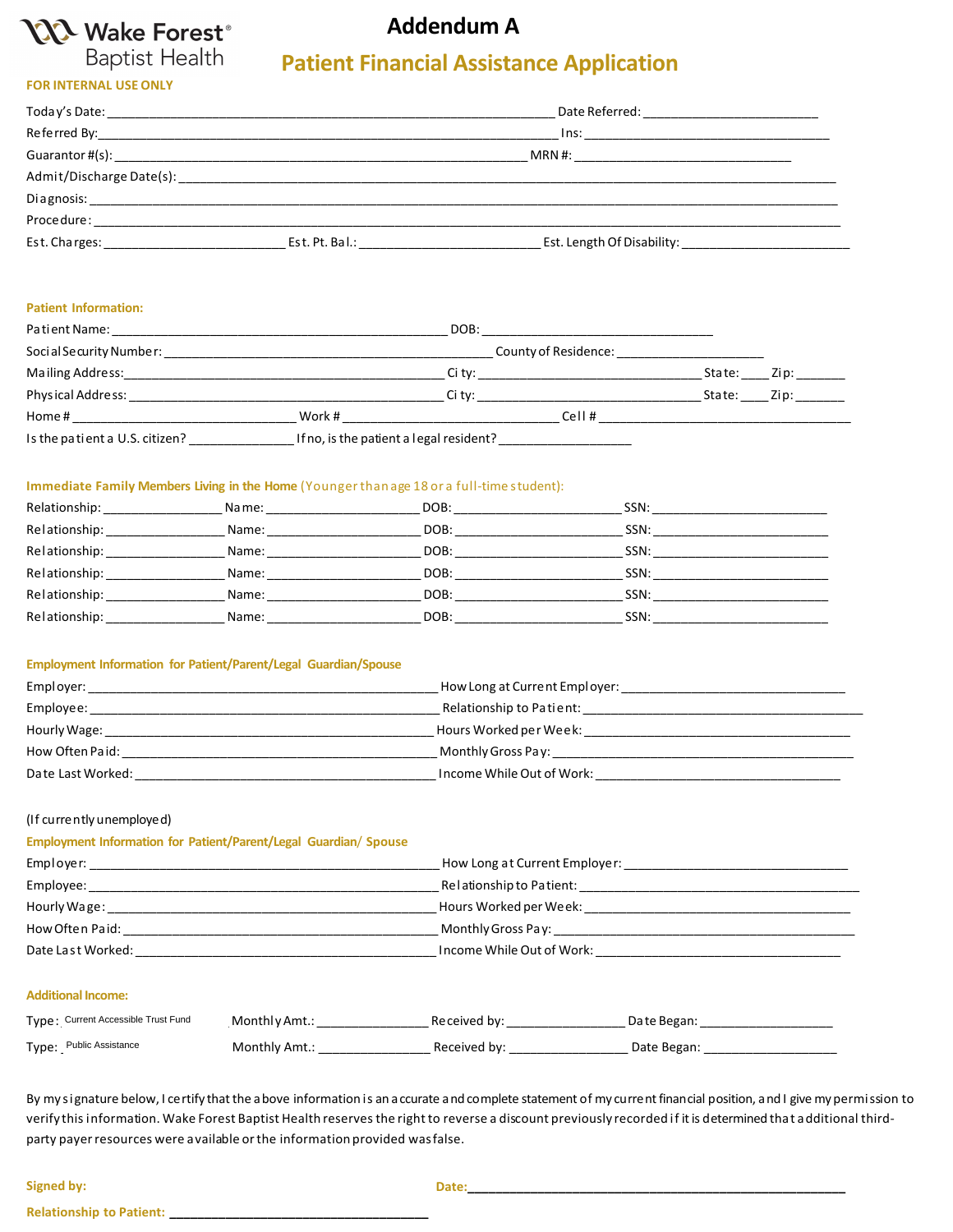

**FOR INTERNAL USE ONLY**

## **Addendum A**

# **Patient Financial Assistance Application**

| Today's Date: ________________________________ |                | Date Referred: _______________________ |  |  |  |
|------------------------------------------------|----------------|----------------------------------------|--|--|--|
|                                                |                |                                        |  |  |  |
|                                                |                | MRN #:                                 |  |  |  |
|                                                |                |                                        |  |  |  |
|                                                |                |                                        |  |  |  |
| Procedure:                                     |                |                                        |  |  |  |
| Est. Charges:                                  | Est. Pt. Bal.: | Est. Length Of Disability:             |  |  |  |

#### **Patient Information:**

| Patient Name:                  |        | DOB:                                    |                                   |        |                                                                                                      |
|--------------------------------|--------|-----------------------------------------|-----------------------------------|--------|------------------------------------------------------------------------------------------------------|
| Social Security Number:        |        |                                         | County of Residence:              |        |                                                                                                      |
| Mailing Address:               |        |                                         | Ci ty: __________________________ | State: | Zip:                                                                                                 |
| Physical Address:              |        | Ci tv:                                  |                                   | State: | Zip: The Solid State State State State State State State State State State State State State State S |
| Home#                          | Work # |                                         | Cell#                             |        |                                                                                                      |
| Is the patient a U.S. citizen? |        | If no, is the patient a legal resident? |                                   |        |                                                                                                      |

### **Immediate Family Members Living in the Home** (Youngerthan age 18 or a full-time student):

| Relationship: | Name: | DOB: | SSN: |
|---------------|-------|------|------|
| Relationship: | Name: | DOB: | SSN: |
| Relationship: | Name: | DOB: | SSN: |
| Relationship: | Name: | DOB: | SSN: |
| Relationship: | Name: | DOB: | SSN: |
| Relationship: | Name: | DOB: | SSN: |

#### **Employment Information for Patient/Parent/Legal Guardian/Spouse**

| Employer:         | How Long at Current Employer: |
|-------------------|-------------------------------|
| Employee:         | Relationship to Patient:      |
| Hourly Wage:      | Hours Worked per Week:        |
| How Often Paid:   | Monthly Gross Pay:            |
| Date Last Worked: | Income While Out of Work:     |

#### (If currentlyunemployed)

| <b>Employment Information for Patient/Parent/Legal Guardian/ Spouse</b>                                        |                               |
|----------------------------------------------------------------------------------------------------------------|-------------------------------|
| Employer:                                                                                                      | How Long at Current Employer: |
| Employee:                                                                                                      | Relationship to Patient:      |
|                                                                                                                | Hours Worked per Week:        |
| How Often Paid: The Contract of the Contract of the Contract of the Contract of the Contract of the Contract o |                               |
| Date Last Worked:                                                                                              | Income While Out of Work:     |
|                                                                                                                |                               |

#### **Additional Income:**

| Type: Current Accessible Trust Fund | Monthly Amt.: | Received by: | Date Began: |
|-------------------------------------|---------------|--------------|-------------|
| Type: Public Assistance             | Monthly Amt.: | Received by: | Date Began: |

By my signature below, I certify that the above information is an accurate and complete statement of my current financial position, and I give my permission to verify thisinformation. Wake Forest Baptist Health reservesthe right to reverse a discount previously recorded if itis determined that additional thirdparty payerresources were available orthe information provided wasfalse.

**Signed by: Date:\_\_\_\_\_\_\_\_\_\_\_\_\_\_\_\_\_\_\_\_\_\_\_\_\_\_\_\_\_\_\_\_\_\_\_\_\_\_\_\_\_\_\_\_\_\_\_\_\_\_\_\_\_\_**

**Relationship to Patient: \_\_\_\_\_\_\_\_\_\_\_\_\_\_\_\_\_\_\_\_\_\_\_\_\_\_\_\_\_\_\_\_\_\_\_\_\_**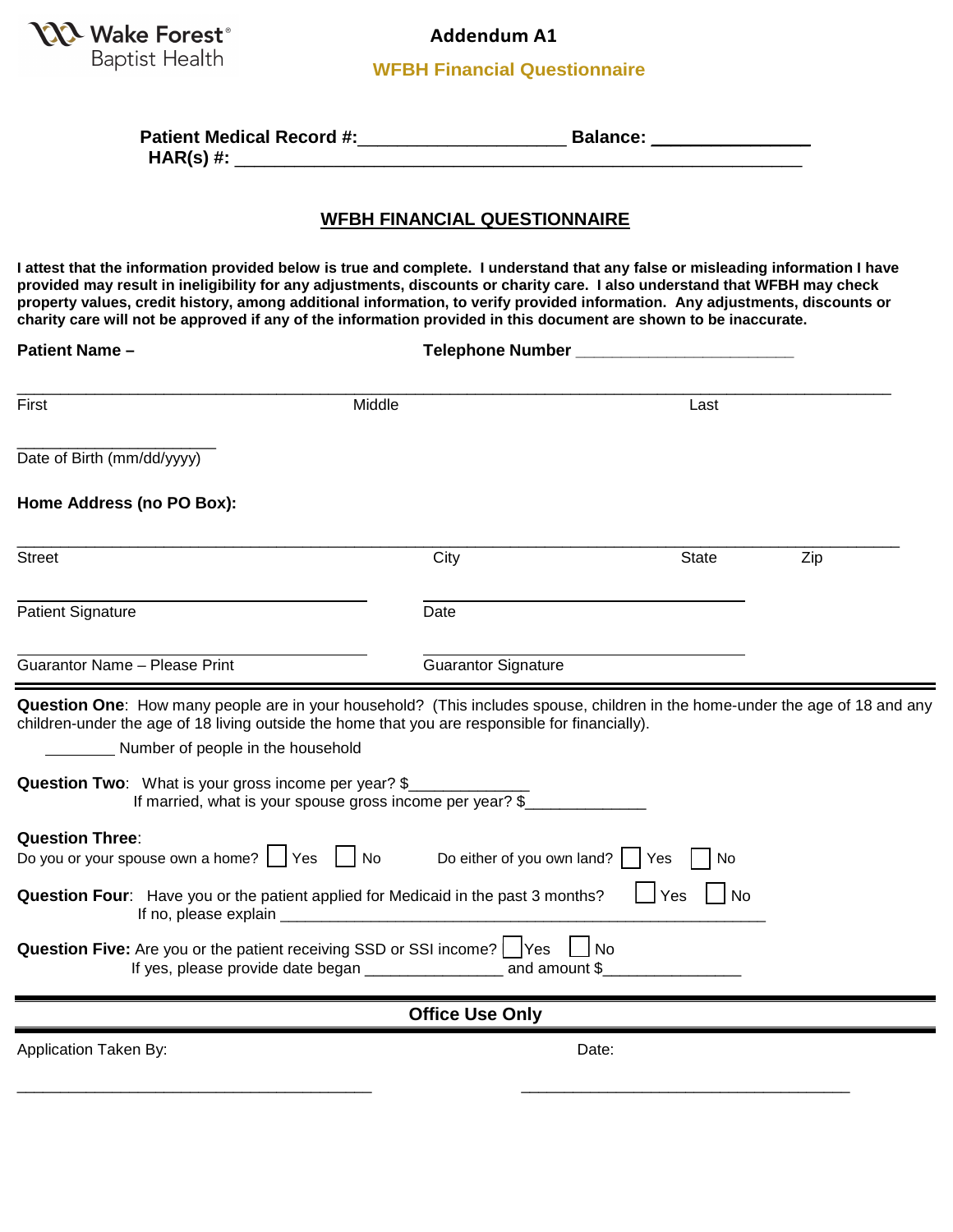

**Addendum A1**

**WFBH Financial Questionnaire**

| <b>Patient Medical Record #:</b>       | <b>Balance:</b> |  |
|----------------------------------------|-----------------|--|
| $\mathbf{H}$ $\mathbf{H}$ $\mathbf{H}$ |                 |  |

**HAR(s) #:** \_\_\_\_\_\_\_\_\_\_\_\_\_\_\_\_\_\_\_\_\_\_\_\_\_\_\_\_\_\_\_\_\_\_\_\_\_\_\_\_\_\_\_\_\_\_\_\_\_\_\_\_\_\_\_\_\_

### **WFBH FINANCIAL QUESTIONNAIRE**

**I attest that the information provided below is true and complete. I understand that any false or misleading information I have provided may result in ineligibility for any adjustments, discounts or charity care. I also understand that WFBH may check property values, credit history, among additional information, to verify provided information. Any adjustments, discounts or charity care will not be approved if any of the information provided in this document are shown to be inaccurate.** 

| <b>Patient Name -</b>                                                                                                            | Telephone Number                                                                                                                                                                                                                                                                             |                       |     |  |  |
|----------------------------------------------------------------------------------------------------------------------------------|----------------------------------------------------------------------------------------------------------------------------------------------------------------------------------------------------------------------------------------------------------------------------------------------|-----------------------|-----|--|--|
| First                                                                                                                            | Middle                                                                                                                                                                                                                                                                                       |                       |     |  |  |
| Date of Birth (mm/dd/yyyy)                                                                                                       |                                                                                                                                                                                                                                                                                              |                       |     |  |  |
| Home Address (no PO Box):                                                                                                        |                                                                                                                                                                                                                                                                                              |                       |     |  |  |
| <b>Street</b>                                                                                                                    | City                                                                                                                                                                                                                                                                                         | <b>State</b>          | Zip |  |  |
| <b>Patient Signature</b>                                                                                                         | Date                                                                                                                                                                                                                                                                                         |                       |     |  |  |
| Guarantor Name - Please Print                                                                                                    | <b>Guarantor Signature</b>                                                                                                                                                                                                                                                                   |                       |     |  |  |
| Number of people in the household<br>Question Two: What is your gross income per year? \$                                        | Question One: How many people are in your household? (This includes spouse, children in the home-under the age of 18 and any<br>children-under the age of 18 living outside the home that you are responsible for financially).<br>If married, what is your spouse gross income per year? \$ |                       |     |  |  |
| <b>Question Three:</b><br>Do you or your spouse own a home? $\Box$ Yes $\Box$ No                                                 | Do either of you own land?                                                                                                                                                                                                                                                                   | Yes<br>No             |     |  |  |
| $\Box$ Yes<br>l No<br>Question Four: Have you or the patient applied for Medicaid in the past 3 months?<br>If no, please explain |                                                                                                                                                                                                                                                                                              |                       |     |  |  |
|                                                                                                                                  | Question Five: Are you or the patient receiving SSD or SSI income?     Yes<br>If yes, please provide date began _____________________ and amount \$_                                                                                                                                         | $\overline{\big }$ No |     |  |  |
|                                                                                                                                  | <b>Office Use Only</b>                                                                                                                                                                                                                                                                       |                       |     |  |  |
| Application Taken By:                                                                                                            |                                                                                                                                                                                                                                                                                              | Date:                 |     |  |  |
|                                                                                                                                  |                                                                                                                                                                                                                                                                                              |                       |     |  |  |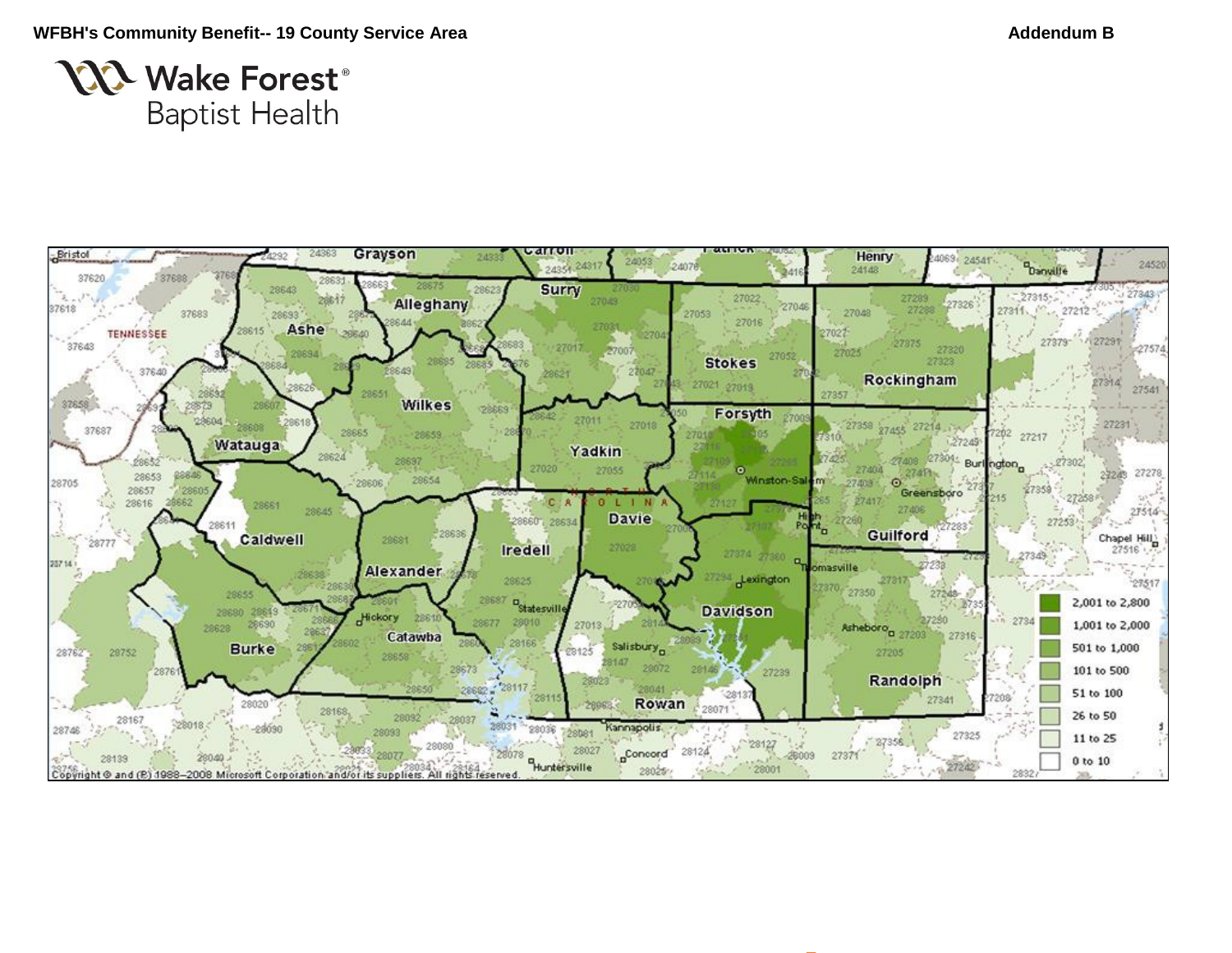

# **NA Wake Forest**® **Baptist Health**

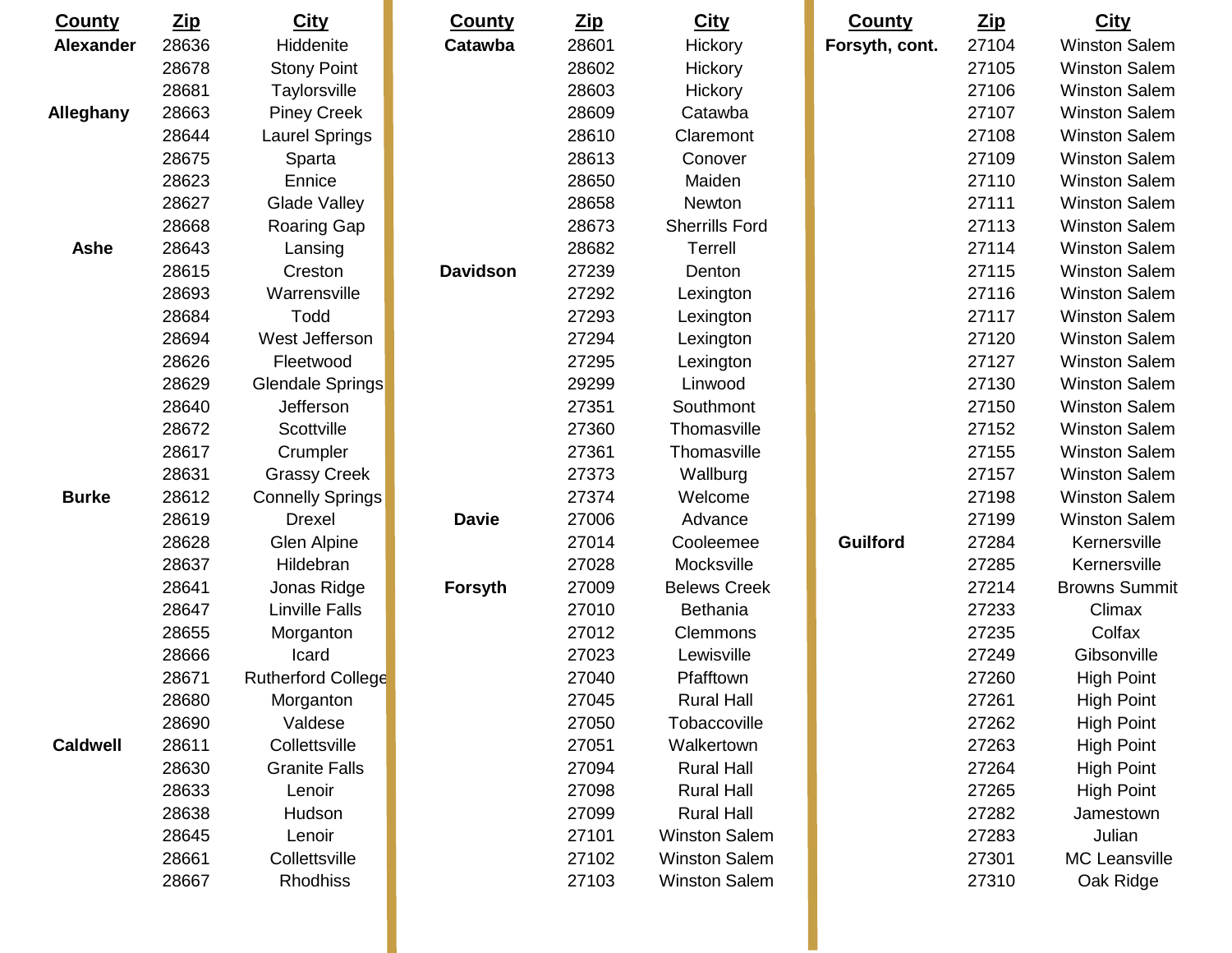| <b>County</b>    | <u>Zip</u> | <b>City</b>               | <b>County</b>   | $\mathbf{Zip}$ | <b>City</b>           | <b>County</b>   | <u>Zip</u> | <b>City</b>          |
|------------------|------------|---------------------------|-----------------|----------------|-----------------------|-----------------|------------|----------------------|
| <b>Alexander</b> | 28636      | Hiddenite                 | Catawba         | 28601          | Hickory               | Forsyth, cont.  | 27104      | <b>Winston Salem</b> |
|                  | 28678      | <b>Stony Point</b>        |                 | 28602          | Hickory               |                 | 27105      | <b>Winston Salem</b> |
|                  | 28681      | Taylorsville              |                 | 28603          | Hickory               |                 | 27106      | <b>Winston Salem</b> |
| Alleghany        | 28663      | <b>Piney Creek</b>        |                 | 28609          | Catawba               |                 | 27107      | <b>Winston Salem</b> |
|                  | 28644      | Laurel Springs            |                 | 28610          | Claremont             |                 | 27108      | <b>Winston Salem</b> |
|                  | 28675      | Sparta                    |                 | 28613          | Conover               |                 | 27109      | <b>Winston Salem</b> |
|                  | 28623      | Ennice                    |                 | 28650          | Maiden                |                 | 27110      | <b>Winston Salem</b> |
|                  | 28627      | <b>Glade Valley</b>       |                 | 28658          | Newton                |                 | 27111      | <b>Winston Salem</b> |
|                  | 28668      | <b>Roaring Gap</b>        |                 | 28673          | <b>Sherrills Ford</b> |                 | 27113      | <b>Winston Salem</b> |
| <b>Ashe</b>      | 28643      | Lansing                   |                 | 28682          | <b>Terrell</b>        |                 | 27114      | <b>Winston Salem</b> |
|                  | 28615      | Creston                   | <b>Davidson</b> | 27239          | Denton                |                 | 27115      | <b>Winston Salem</b> |
|                  | 28693      | Warrensville              |                 | 27292          | Lexington             |                 | 27116      | <b>Winston Salem</b> |
|                  | 28684      | Todd                      |                 | 27293          | Lexington             |                 | 27117      | <b>Winston Salem</b> |
|                  | 28694      | West Jefferson            |                 | 27294          | Lexington             |                 | 27120      | <b>Winston Salem</b> |
|                  | 28626      | Fleetwood                 |                 | 27295          | Lexington             |                 | 27127      | <b>Winston Salem</b> |
|                  | 28629      | Glendale Springs          |                 | 29299          | Linwood               |                 | 27130      | <b>Winston Salem</b> |
|                  | 28640      | Jefferson                 |                 | 27351          | Southmont             |                 | 27150      | <b>Winston Salem</b> |
|                  | 28672      | Scottville                |                 | 27360          | Thomasville           |                 | 27152      | <b>Winston Salem</b> |
|                  | 28617      | Crumpler                  |                 | 27361          | Thomasville           |                 | 27155      | <b>Winston Salem</b> |
|                  | 28631      | <b>Grassy Creek</b>       |                 | 27373          | Wallburg              |                 | 27157      | <b>Winston Salem</b> |
| <b>Burke</b>     | 28612      | <b>Connelly Springs</b>   |                 | 27374          | Welcome               |                 | 27198      | <b>Winston Salem</b> |
|                  | 28619      | <b>Drexel</b>             | <b>Davie</b>    | 27006          | Advance               |                 | 27199      | <b>Winston Salem</b> |
|                  | 28628      | Glen Alpine               |                 | 27014          | Cooleemee             | <b>Guilford</b> | 27284      | Kernersville         |
|                  | 28637      | Hildebran                 |                 | 27028          | Mocksville            |                 | 27285      | Kernersville         |
|                  | 28641      | Jonas Ridge               | <b>Forsyth</b>  | 27009          | <b>Belews Creek</b>   |                 | 27214      | <b>Browns Summit</b> |
|                  | 28647      | <b>Linville Falls</b>     |                 | 27010          | Bethania              |                 | 27233      | Climax               |
|                  | 28655      | Morganton                 |                 | 27012          | Clemmons              |                 | 27235      | Colfax               |
|                  | 28666      | Icard                     |                 | 27023          | Lewisville            |                 | 27249      | Gibsonville          |
|                  | 28671      | <b>Rutherford College</b> |                 | 27040          | Pfafftown             |                 | 27260      | <b>High Point</b>    |
|                  | 28680      | Morganton                 |                 | 27045          | <b>Rural Hall</b>     |                 | 27261      | <b>High Point</b>    |
|                  | 28690      | Valdese                   |                 | 27050          | Tobaccoville          |                 | 27262      | <b>High Point</b>    |
| <b>Caldwell</b>  | 28611      | Collettsville             |                 | 27051          | Walkertown            |                 | 27263      | <b>High Point</b>    |
|                  | 28630      | <b>Granite Falls</b>      |                 | 27094          | <b>Rural Hall</b>     |                 | 27264      | <b>High Point</b>    |
|                  | 28633      | Lenoir                    |                 | 27098          | <b>Rural Hall</b>     |                 | 27265      | <b>High Point</b>    |
|                  | 28638      | Hudson                    |                 | 27099          | <b>Rural Hall</b>     |                 | 27282      | Jamestown            |
|                  | 28645      | Lenoir                    |                 | 27101          | <b>Winston Salem</b>  |                 | 27283      | Julian               |
|                  | 28661      | Collettsville             |                 | 27102          | <b>Winston Salem</b>  |                 | 27301      | MC Leansville        |
|                  | 28667      | Rhodhiss                  |                 | 27103          | <b>Winston Salem</b>  |                 | 27310      | Oak Ridge            |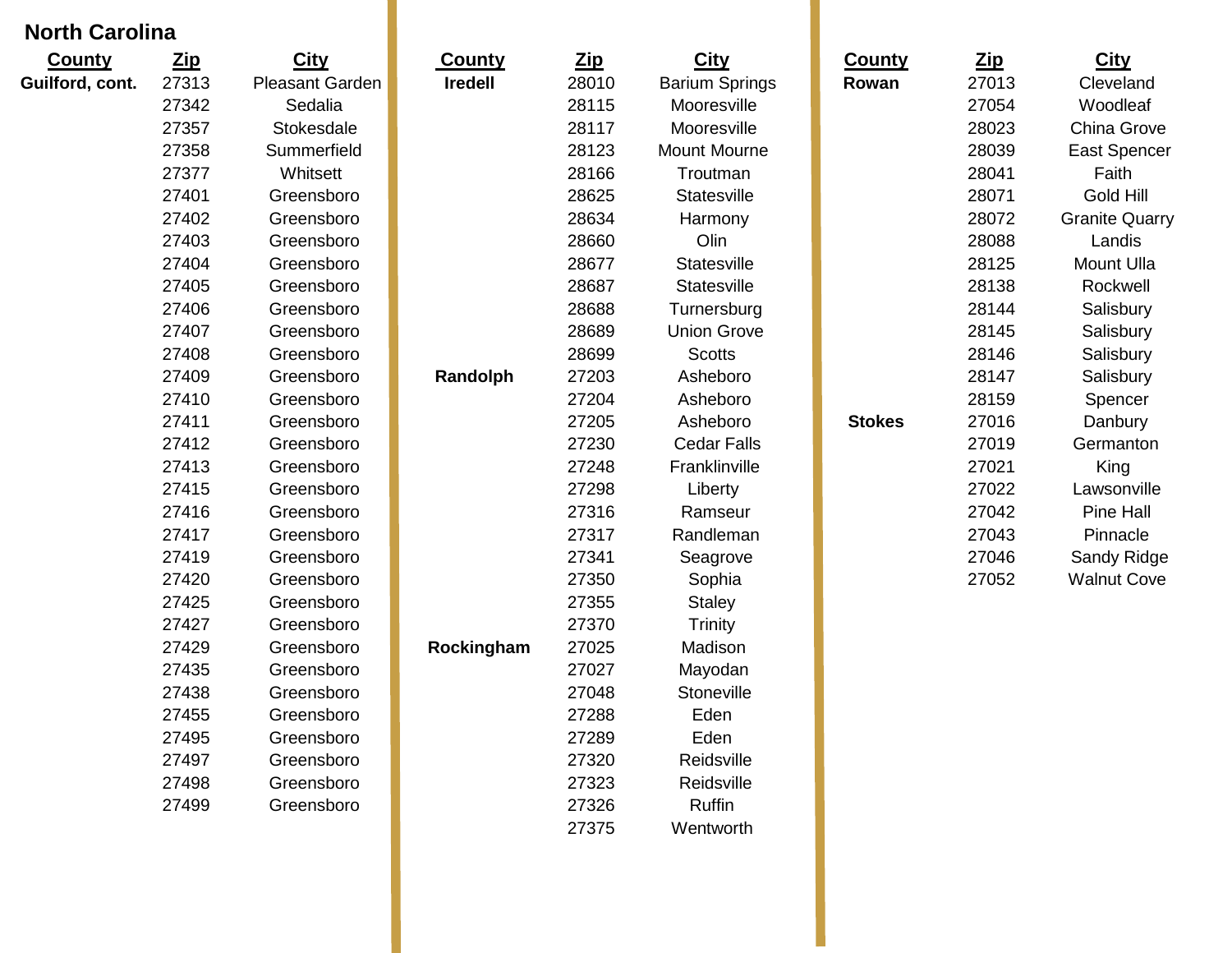# **North Carolina**

| <b>County</b>   | <b>Zip</b> | <b>City</b>     | <b>County</b>  | <b>Zip</b> | <b>City</b>           | <b>County</b> | <b>Zip</b> | <b>City</b>           |
|-----------------|------------|-----------------|----------------|------------|-----------------------|---------------|------------|-----------------------|
| Guilford, cont. | 27313      | Pleasant Garden | <b>Iredell</b> | 28010      | <b>Barium Springs</b> | Rowan         | 27013      | Cleveland             |
|                 | 27342      | Sedalia         |                | 28115      | Mooresville           |               | 27054      | Woodleaf              |
|                 | 27357      | Stokesdale      |                | 28117      | Mooresville           |               | 28023      | China Grove           |
|                 | 27358      | Summerfield     |                | 28123      | <b>Mount Mourne</b>   |               | 28039      | <b>East Spencer</b>   |
|                 | 27377      | Whitsett        |                | 28166      | Troutman              |               | 28041      | Faith                 |
|                 | 27401      | Greensboro      |                | 28625      | Statesville           |               | 28071      | <b>Gold Hill</b>      |
|                 | 27402      | Greensboro      |                | 28634      | Harmony               |               | 28072      | <b>Granite Quarry</b> |
|                 | 27403      | Greensboro      |                | 28660      | Olin                  |               | 28088      | Landis                |
|                 | 27404      | Greensboro      |                | 28677      | Statesville           |               | 28125      | <b>Mount Ulla</b>     |
|                 | 27405      | Greensboro      |                | 28687      | Statesville           |               | 28138      | Rockwell              |
|                 | 27406      | Greensboro      |                | 28688      | Turnersburg           |               | 28144      | Salisbury             |
|                 | 27407      | Greensboro      |                | 28689      | <b>Union Grove</b>    |               | 28145      | Salisbury             |
|                 | 27408      | Greensboro      |                | 28699      | <b>Scotts</b>         |               | 28146      | Salisbury             |
|                 | 27409      | Greensboro      | Randolph       | 27203      | Asheboro              |               | 28147      | Salisbury             |
|                 | 27410      | Greensboro      |                | 27204      | Asheboro              |               | 28159      | Spencer               |
|                 | 27411      | Greensboro      |                | 27205      | Asheboro              | <b>Stokes</b> | 27016      | Danbury               |
|                 | 27412      | Greensboro      |                | 27230      | <b>Cedar Falls</b>    |               | 27019      | Germanton             |
|                 | 27413      | Greensboro      |                | 27248      | Franklinville         |               | 27021      | King                  |
|                 | 27415      | Greensboro      |                | 27298      | Liberty               |               | 27022      | Lawsonville           |
|                 | 27416      | Greensboro      |                | 27316      | Ramseur               |               | 27042      | Pine Hall             |
|                 | 27417      | Greensboro      |                | 27317      | Randleman             |               | 27043      | Pinnacle              |
|                 | 27419      | Greensboro      |                | 27341      | Seagrove              |               | 27046      | Sandy Ridge           |
|                 | 27420      | Greensboro      |                | 27350      | Sophia                |               | 27052      | <b>Walnut Cove</b>    |
|                 | 27425      | Greensboro      |                | 27355      | <b>Staley</b>         |               |            |                       |
|                 | 27427      | Greensboro      |                | 27370      | <b>Trinity</b>        |               |            |                       |
|                 | 27429      | Greensboro      | Rockingham     | 27025      | Madison               |               |            |                       |
|                 | 27435      | Greensboro      |                | 27027      | Mayodan               |               |            |                       |
|                 | 27438      | Greensboro      |                | 27048      | Stoneville            |               |            |                       |
|                 | 27455      | Greensboro      |                | 27288      | Eden                  |               |            |                       |
|                 | 27495      | Greensboro      |                | 27289      | Eden                  |               |            |                       |
|                 | 27497      | Greensboro      |                | 27320      | Reidsville            |               |            |                       |
|                 | 27498      | Greensboro      |                | 27323      | Reidsville            |               |            |                       |
|                 | 27499      | Greensboro      |                | 27326      | <b>Ruffin</b>         |               |            |                       |
|                 |            |                 |                | 27375      | Wentworth             |               |            |                       |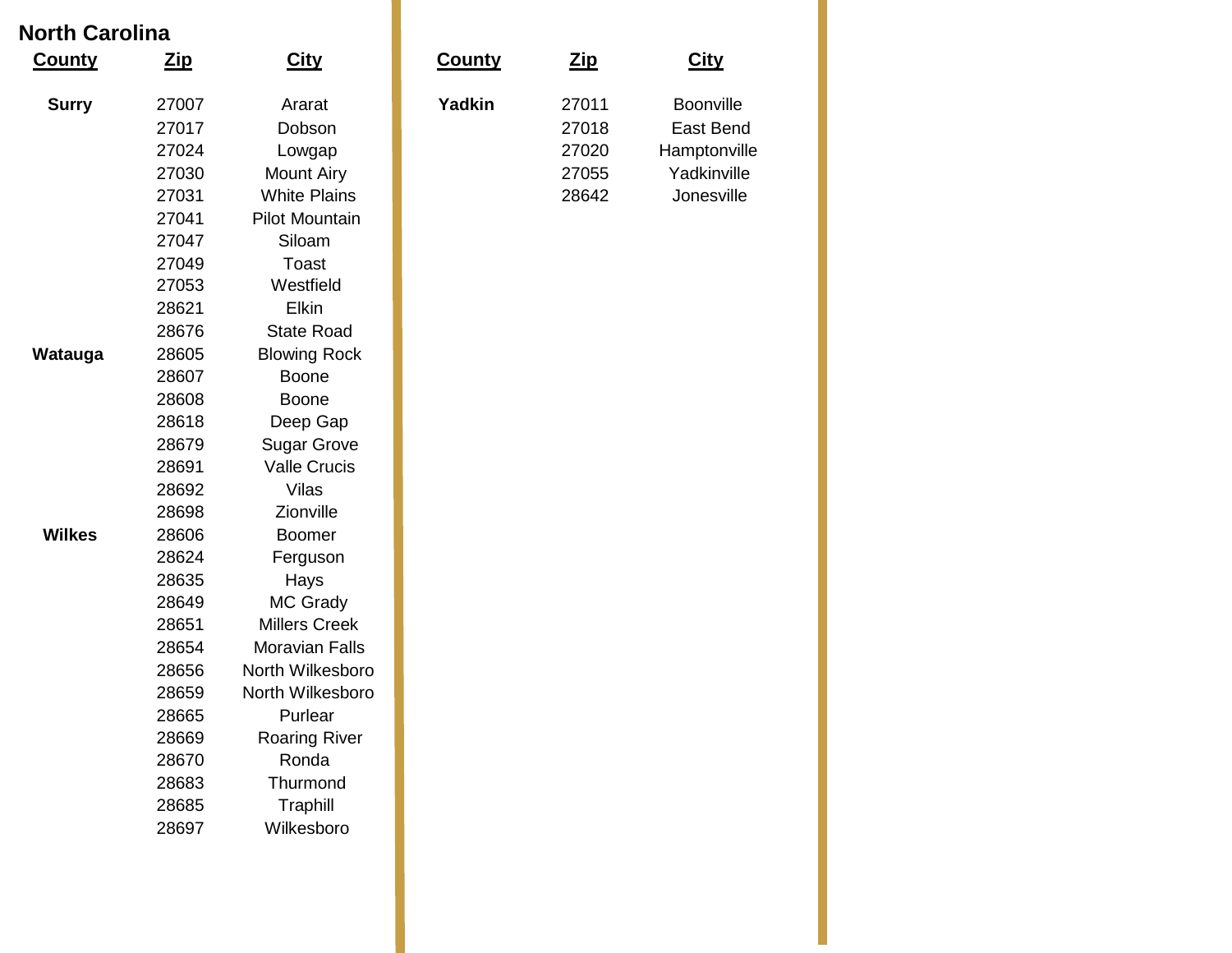# **North Carolina**

| <b>County</b> | $_{\underline{\text{zip}}}$ | <b>City</b>           | <b>County</b> | <u>Zip</u> | <b>City</b>  |
|---------------|-----------------------------|-----------------------|---------------|------------|--------------|
| <b>Surry</b>  | 27007                       | Ararat                | <b>Yadkin</b> | 27011      | Boonville    |
|               | 27017                       | Dobson                |               | 27018      | East Bend    |
|               | 27024                       | Lowgap                |               | 27020      | Hamptonville |
|               | 27030                       | <b>Mount Airy</b>     |               | 27055      | Yadkinville  |
|               | 27031                       | <b>White Plains</b>   |               | 28642      | Jonesville   |
|               | 27041                       | <b>Pilot Mountain</b> |               |            |              |
|               | 27047                       | Siloam                |               |            |              |
|               | 27049                       | <b>Toast</b>          |               |            |              |
|               | 27053                       | Westfield             |               |            |              |
|               | 28621                       | <b>Elkin</b>          |               |            |              |
|               | 28676                       | <b>State Road</b>     |               |            |              |
| Watauga       | 28605                       | <b>Blowing Rock</b>   |               |            |              |
|               | 28607                       | <b>Boone</b>          |               |            |              |
|               | 28608                       | <b>Boone</b>          |               |            |              |
|               | 28618                       | Deep Gap              |               |            |              |
|               | 28679                       | <b>Sugar Grove</b>    |               |            |              |
|               | 28691                       | <b>Valle Crucis</b>   |               |            |              |
|               | 28692                       | <b>Vilas</b>          |               |            |              |
|               | 28698                       | Zionville             |               |            |              |
| <b>Wilkes</b> | 28606                       | <b>Boomer</b>         |               |            |              |
|               | 28624                       | Ferguson              |               |            |              |
|               | 28635                       | Hays                  |               |            |              |
|               | 28649                       | MC Grady              |               |            |              |
|               | 28651                       | <b>Millers Creek</b>  |               |            |              |
|               | 28654                       | <b>Moravian Falls</b> |               |            |              |
|               | 28656                       | North Wilkesboro      |               |            |              |
|               | 28659                       | North Wilkesboro      |               |            |              |
|               | 28665                       | Purlear               |               |            |              |
|               | 28669                       | <b>Roaring River</b>  |               |            |              |
|               | 28670<br>28683              | Ronda<br>Thurmond     |               |            |              |
|               | 28685                       | Traphill              |               |            |              |
|               | 28697                       | Wilkesboro            |               |            |              |
|               |                             |                       |               |            |              |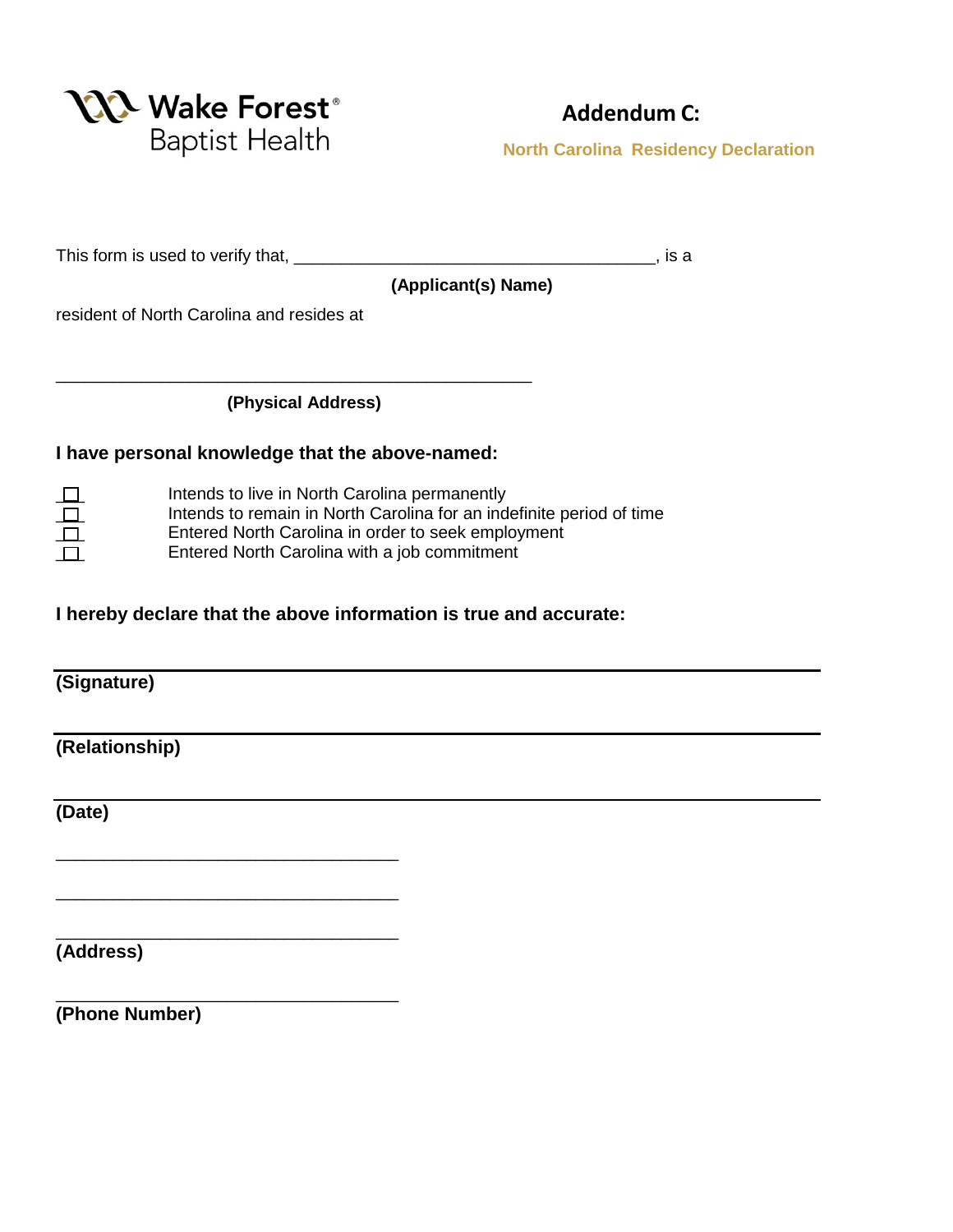

# **Addendum C:**

**North Carolina Residency Declaration** 

This form is used to verify that, \_\_\_\_\_\_\_\_\_\_\_\_\_\_\_\_\_\_\_\_\_\_\_\_\_\_\_\_\_\_\_\_\_\_\_\_\_\_, is a

 **(Applicant(s) Name)**

resident of North Carolina and resides at

\_\_\_\_\_\_\_\_\_\_\_\_\_\_\_\_\_\_\_\_\_\_\_\_\_\_\_\_\_\_\_\_\_\_\_\_

\_\_\_\_\_\_\_\_\_\_\_\_\_\_\_\_\_\_\_\_\_\_\_\_\_\_\_\_\_\_\_\_\_\_\_\_

\_\_\_\_\_\_\_\_\_\_\_\_\_\_\_\_\_\_\_\_\_\_\_\_\_\_\_\_\_\_\_\_\_\_\_\_

\_\_\_\_\_\_\_\_\_\_\_\_\_\_\_\_\_\_\_\_\_\_\_\_\_\_\_\_\_\_\_\_\_\_\_\_

 **(Physical Address)**

\_\_\_\_\_\_\_\_\_\_\_\_\_\_\_\_\_\_\_\_\_\_\_\_\_\_\_\_\_\_\_\_\_\_\_\_\_\_\_\_\_\_\_\_\_\_\_\_\_\_

### **I have personal knowledge that the above-named:**

| Intends to live in North Carolina permanently                        |
|----------------------------------------------------------------------|
| Intends to remain in North Carolina for an indefinite period of time |
| Entered North Carolina in order to seek employment                   |
| Entered North Carolina with a job commitment                         |
|                                                                      |

## **I hereby declare that the above information is true and accurate:**

**(Signature)**

**(Relationship)**

**(Date)**

**(Address)**

**(Phone Number)**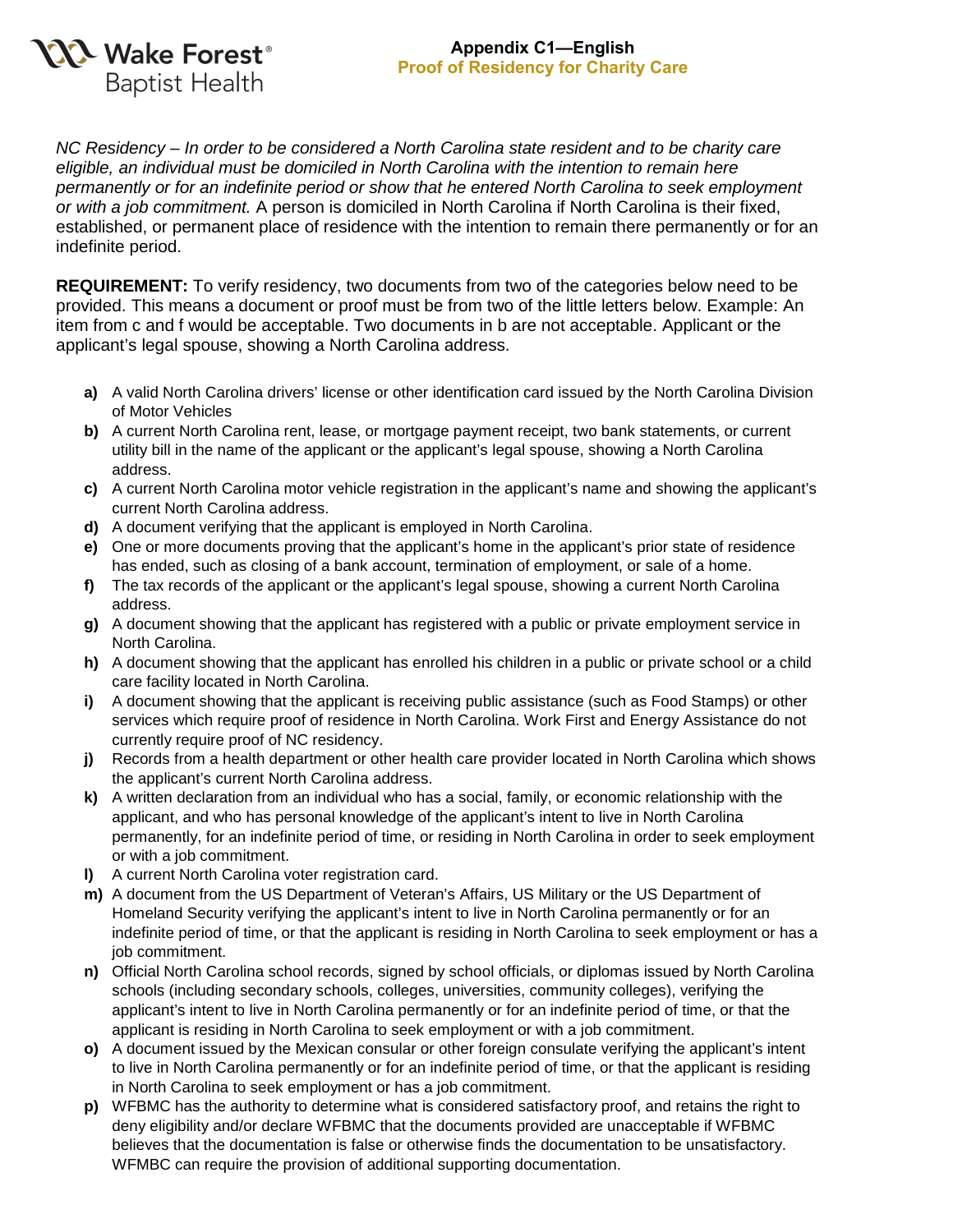

### **Appendix C1—English Proof of Residency for Charity Care**

*NC Residency – In order to be considered a North Carolina state resident and to be charity care eligible, an individual must be domiciled in North Carolina with the intention to remain here permanently or for an indefinite period or show that he entered North Carolina to seek employment or with a job commitment.* A person is domiciled in North Carolina if North Carolina is their fixed, established, or permanent place of residence with the intention to remain there permanently or for an indefinite period.

**REQUIREMENT:** To verify residency, two documents from two of the categories below need to be provided. This means a document or proof must be from two of the little letters below. Example: An item from c and f would be acceptable. Two documents in b are not acceptable. Applicant or the applicant's legal spouse, showing a North Carolina address.

- **a)** A valid North Carolina drivers' license or other identification card issued by the North Carolina Division of Motor Vehicles
- **b)** A current North Carolina rent, lease, or mortgage payment receipt, two bank statements, or current utility bill in the name of the applicant or the applicant's legal spouse, showing a North Carolina address.
- **c)** A current North Carolina motor vehicle registration in the applicant's name and showing the applicant's current North Carolina address.
- **d)** A document verifying that the applicant is employed in North Carolina.
- **e)** One or more documents proving that the applicant's home in the applicant's prior state of residence has ended, such as closing of a bank account, termination of employment, or sale of a home.
- **f)** The tax records of the applicant or the applicant's legal spouse, showing a current North Carolina address.
- **g)** A document showing that the applicant has registered with a public or private employment service in North Carolina.
- **h)** A document showing that the applicant has enrolled his children in a public or private school or a child care facility located in North Carolina.
- **i)** A document showing that the applicant is receiving public assistance (such as Food Stamps) or other services which require proof of residence in North Carolina. Work First and Energy Assistance do not currently require proof of NC residency.
- **j)** Records from a health department or other health care provider located in North Carolina which shows the applicant's current North Carolina address.
- **k)** A written declaration from an individual who has a social, family, or economic relationship with the applicant, and who has personal knowledge of the applicant's intent to live in North Carolina permanently, for an indefinite period of time, or residing in North Carolina in order to seek employment or with a job commitment.
- **l)** A current North Carolina voter registration card.
- **m)** A document from the US Department of Veteran's Affairs, US Military or the US Department of Homeland Security verifying the applicant's intent to live in North Carolina permanently or for an indefinite period of time, or that the applicant is residing in North Carolina to seek employment or has a job commitment.
- **n)** Official North Carolina school records, signed by school officials, or diplomas issued by North Carolina schools (including secondary schools, colleges, universities, community colleges), verifying the applicant's intent to live in North Carolina permanently or for an indefinite period of time, or that the applicant is residing in North Carolina to seek employment or with a job commitment.
- **o)** A document issued by the Mexican consular or other foreign consulate verifying the applicant's intent to live in North Carolina permanently or for an indefinite period of time, or that the applicant is residing in North Carolina to seek employment or has a job commitment.
- **p)** WFBMC has the authority to determine what is considered satisfactory proof, and retains the right to deny eligibility and/or declare WFBMC that the documents provided are unacceptable if WFBMC believes that the documentation is false or otherwise finds the documentation to be unsatisfactory. WFMBC can require the provision of additional supporting documentation.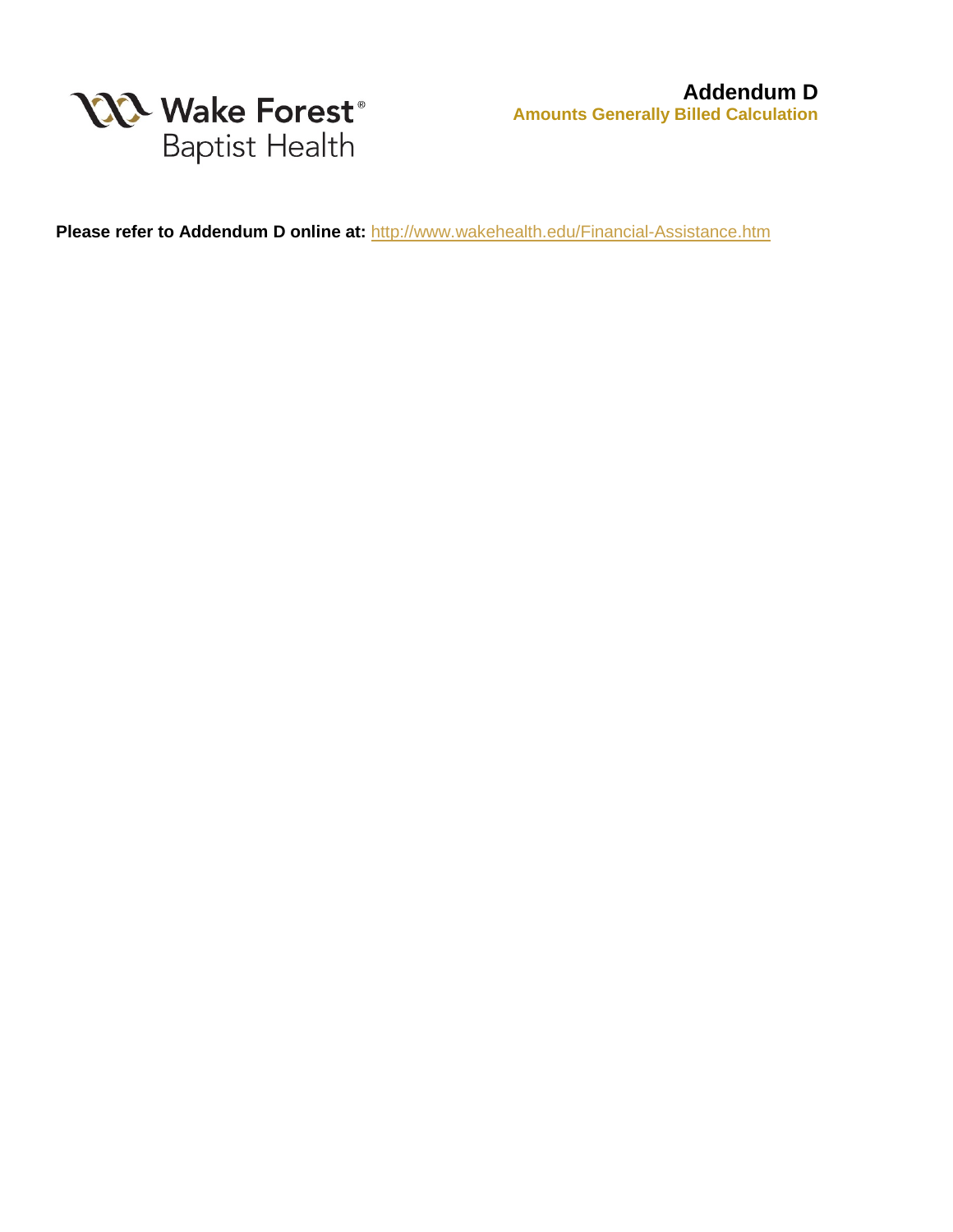

**Please refer to Addendum D online at:** <http://www.wakehealth.edu/Financial-Assistance.htm>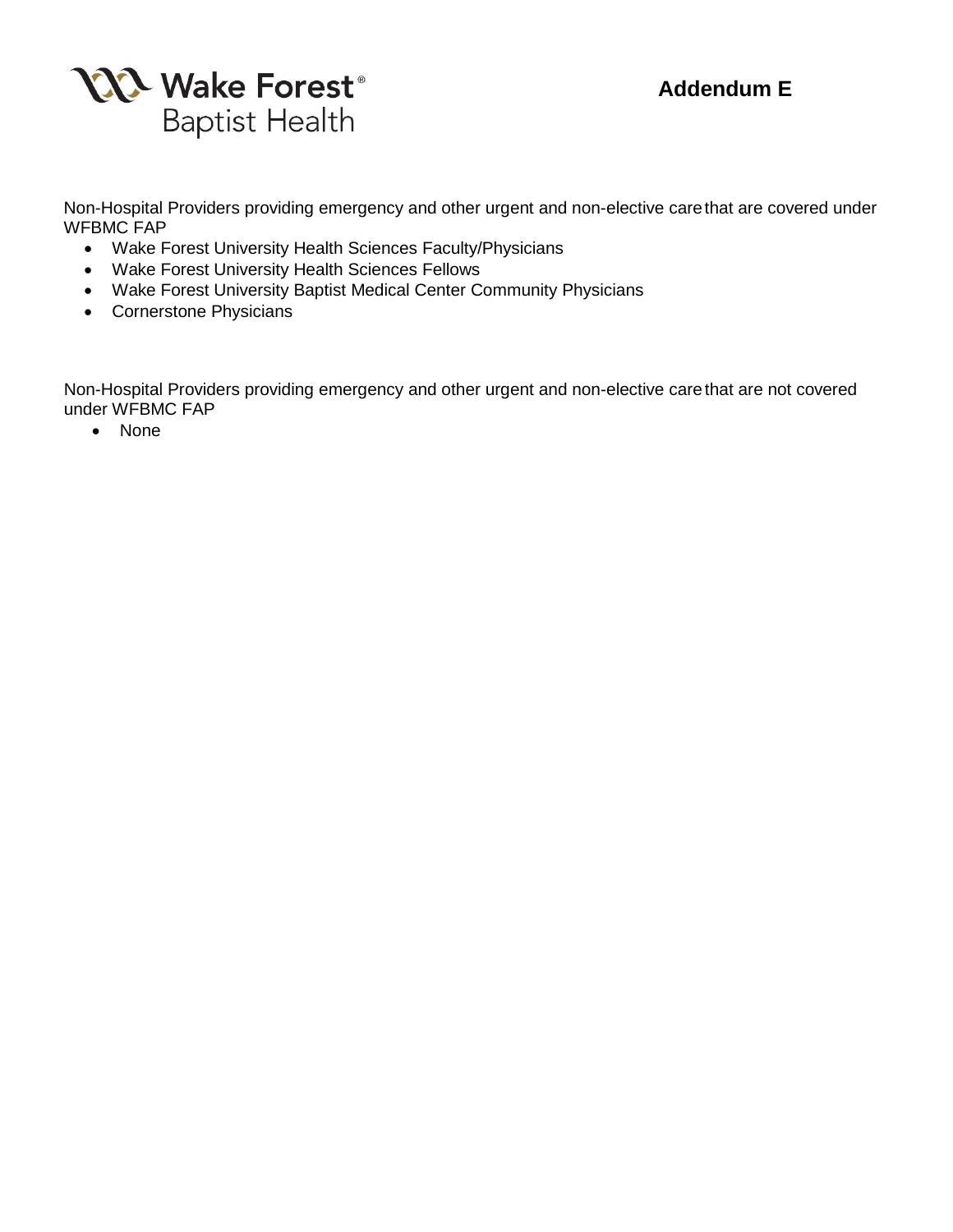



Non-Hospital Providers providing emergency and other urgent and non-elective carethat are covered under WFBMC FAP

- Wake Forest University Health Sciences Faculty/Physicians
- Wake Forest University Health Sciences Fellows
- Wake Forest University Baptist Medical Center Community Physicians
- Cornerstone Physicians

Non-Hospital Providers providing emergency and other urgent and non-elective care that are not covered under WFBMC FAP

• None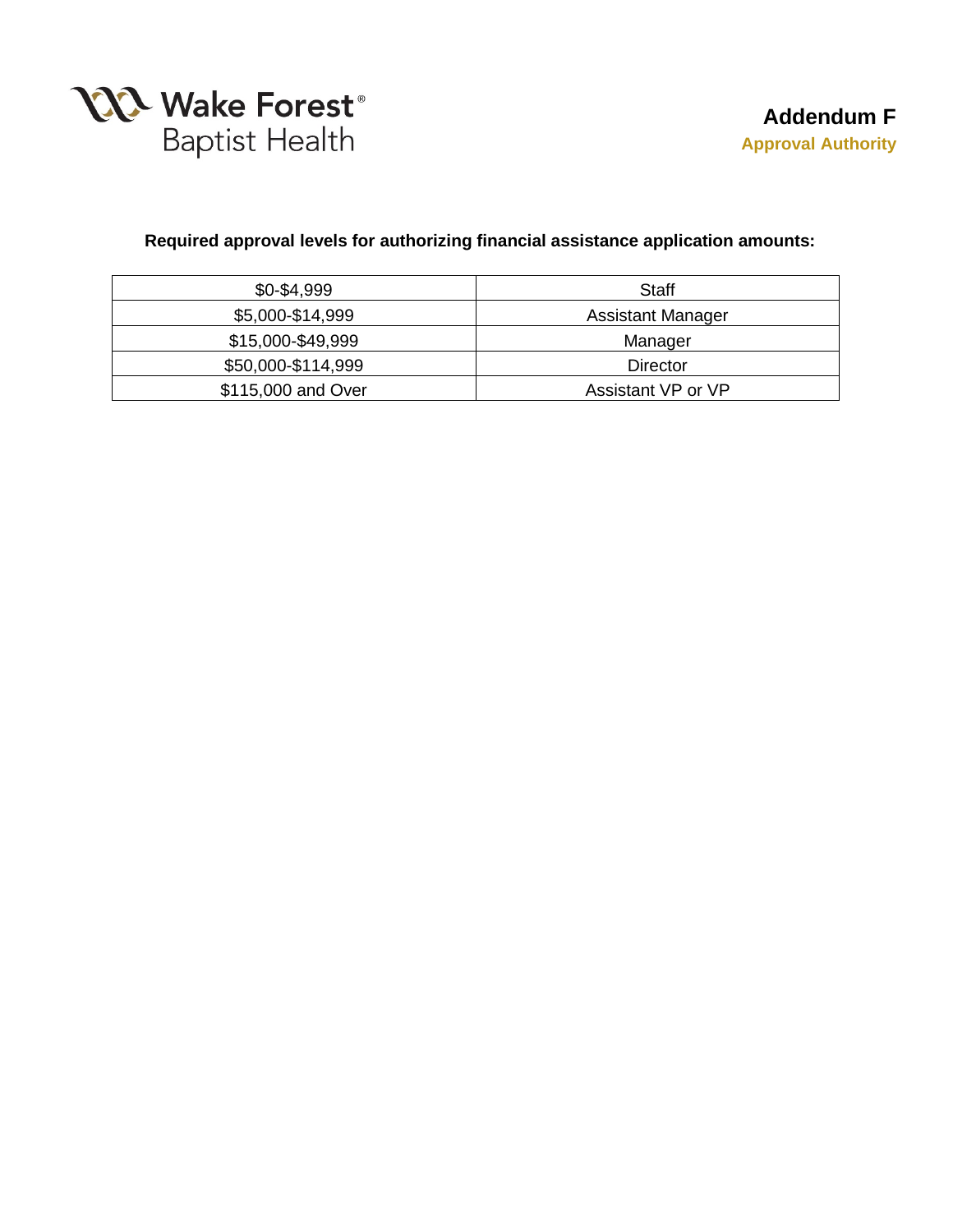

### **Required approval levels for authorizing financial assistance application amounts:**

| $$0-$4,999$        | Staff              |
|--------------------|--------------------|
| \$5,000-\$14,999   | Assistant Manager  |
| \$15,000-\$49,999  | Manager            |
| \$50,000-\$114,999 | Director           |
| \$115,000 and Over | Assistant VP or VP |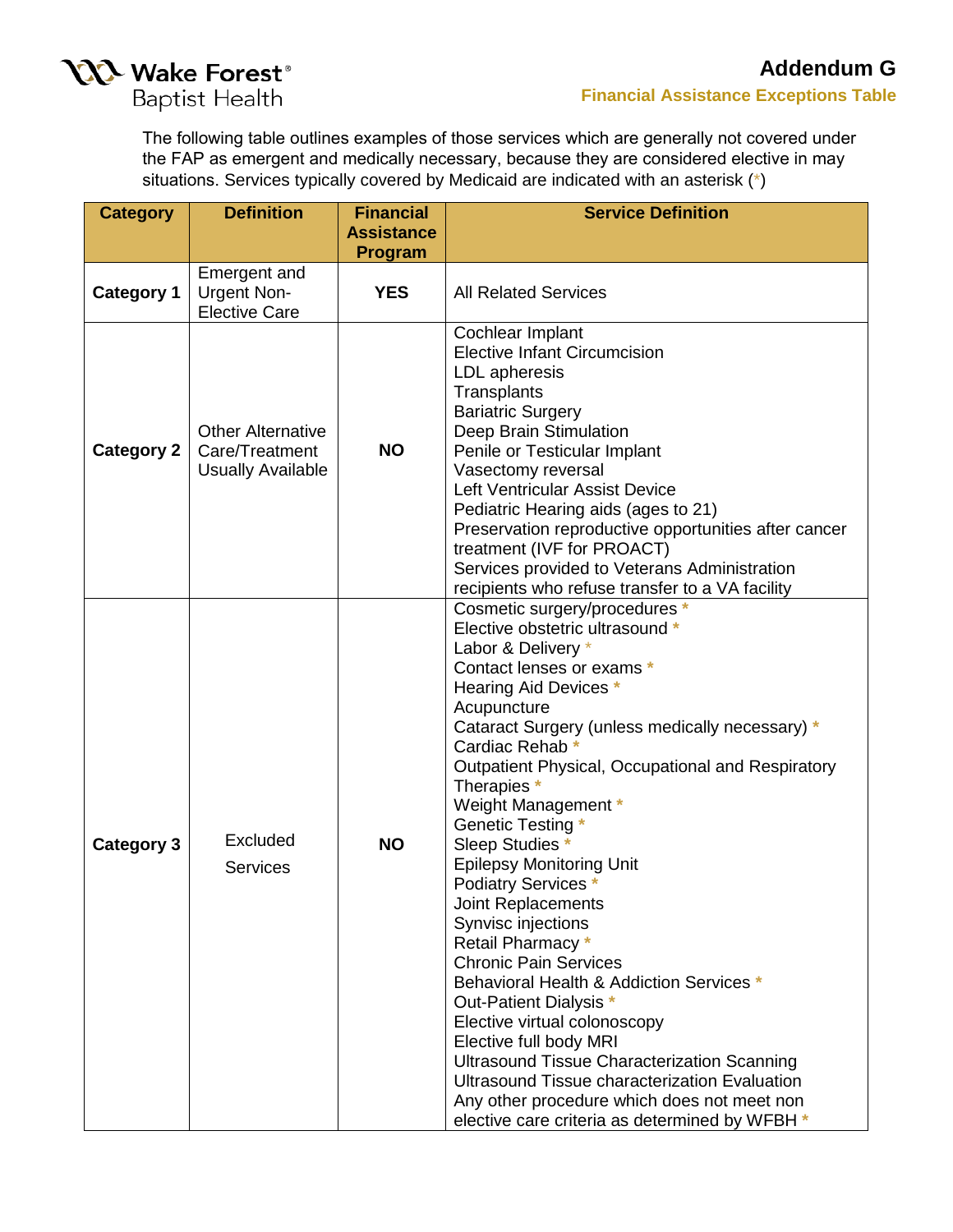

[The following table outline](https://www.wakehealth.edu/Patient-and-Family-Resources/Billing-and-Insurance/Financial-Assistance)s examples of those services which are generally not covered under the FAP as emergent and medically necessary, because they are considered elective in may situations. Services typically covered by Medicaid are indicated with an asterisk (\*)

| <b>Category</b>   | <b>Definition</b>                                                      | <b>Financial</b>  | <b>Service Definition</b>                                                                                                                                                                                                                                                                                                                                                                                                                                                                                                                                                                                                                                                                                                                                                                                                                                                          |
|-------------------|------------------------------------------------------------------------|-------------------|------------------------------------------------------------------------------------------------------------------------------------------------------------------------------------------------------------------------------------------------------------------------------------------------------------------------------------------------------------------------------------------------------------------------------------------------------------------------------------------------------------------------------------------------------------------------------------------------------------------------------------------------------------------------------------------------------------------------------------------------------------------------------------------------------------------------------------------------------------------------------------|
|                   |                                                                        | <b>Assistance</b> |                                                                                                                                                                                                                                                                                                                                                                                                                                                                                                                                                                                                                                                                                                                                                                                                                                                                                    |
|                   |                                                                        | Program           |                                                                                                                                                                                                                                                                                                                                                                                                                                                                                                                                                                                                                                                                                                                                                                                                                                                                                    |
| <b>Category 1</b> | <b>Emergent and</b><br><b>Urgent Non-</b><br><b>Elective Care</b>      | <b>YES</b>        | <b>All Related Services</b>                                                                                                                                                                                                                                                                                                                                                                                                                                                                                                                                                                                                                                                                                                                                                                                                                                                        |
| <b>Category 2</b> | <b>Other Alternative</b><br>Care/Treatment<br><b>Usually Available</b> | <b>NO</b>         | Cochlear Implant<br><b>Elective Infant Circumcision</b><br>LDL apheresis<br>Transplants<br><b>Bariatric Surgery</b><br>Deep Brain Stimulation<br>Penile or Testicular Implant<br>Vasectomy reversal<br>Left Ventricular Assist Device<br>Pediatric Hearing aids (ages to 21)<br>Preservation reproductive opportunities after cancer<br>treatment (IVF for PROACT)<br>Services provided to Veterans Administration<br>recipients who refuse transfer to a VA facility                                                                                                                                                                                                                                                                                                                                                                                                              |
| <b>Category 3</b> | Excluded<br><b>Services</b>                                            | <b>NO</b>         | Cosmetic surgery/procedures *<br>Elective obstetric ultrasound *<br>Labor & Delivery *<br>Contact lenses or exams *<br>Hearing Aid Devices *<br>Acupuncture<br>Cataract Surgery (unless medically necessary) *<br>Cardiac Rehab <sup>+</sup><br>Outpatient Physical, Occupational and Respiratory<br>Therapies *<br>Weight Management *<br>Genetic Testing *<br>Sleep Studies *<br><b>Epilepsy Monitoring Unit</b><br>Podiatry Services *<br>Joint Replacements<br>Synvisc injections<br>Retail Pharmacy *<br><b>Chronic Pain Services</b><br>Behavioral Health & Addiction Services *<br>Out-Patient Dialysis *<br>Elective virtual colonoscopy<br>Elective full body MRI<br><b>Ultrasound Tissue Characterization Scanning</b><br>Ultrasound Tissue characterization Evaluation<br>Any other procedure which does not meet non<br>elective care criteria as determined by WFBH * |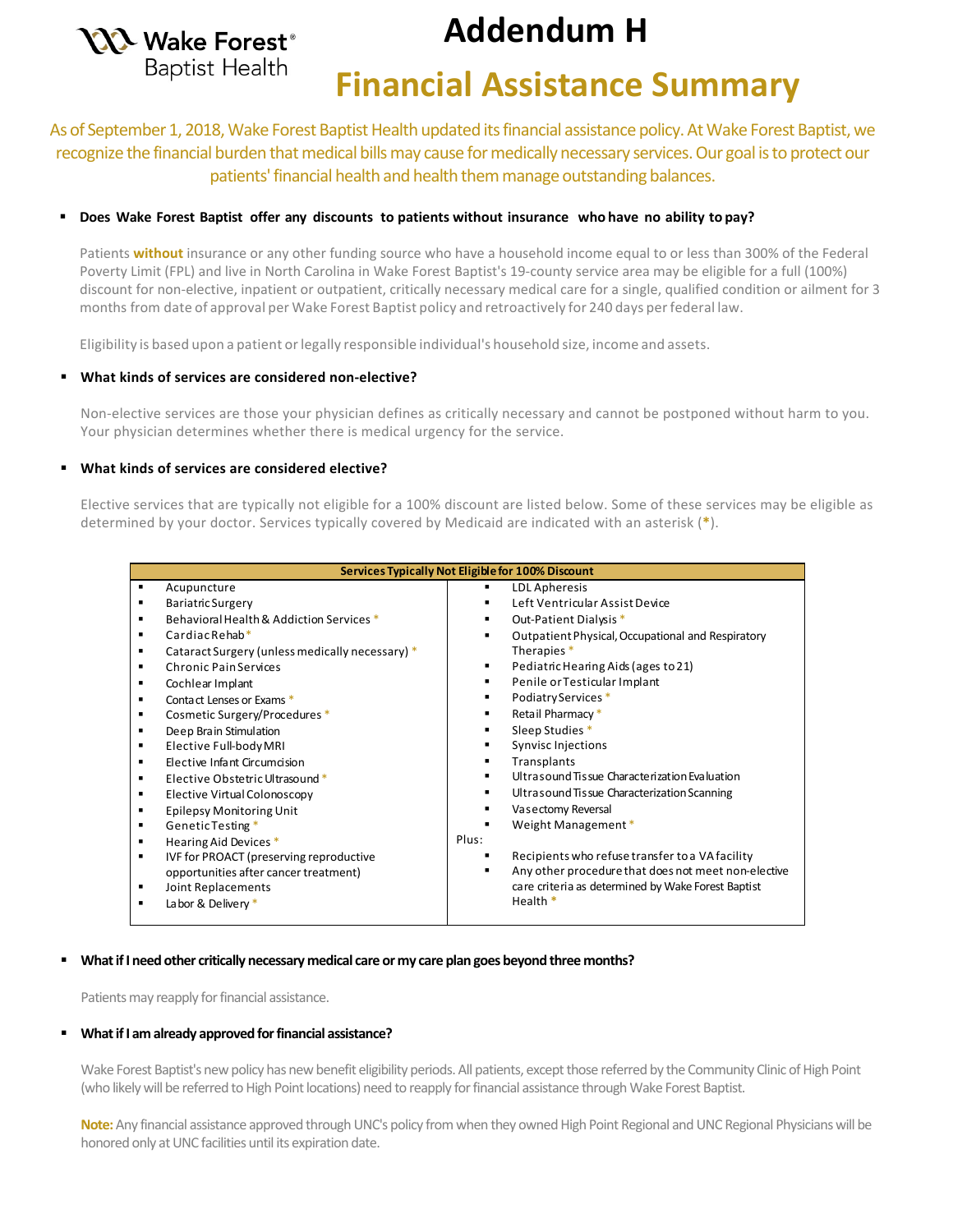

# **Addendum H**

# **Financial Assistance Summary**

As of September 1, 2018, Wake Forest Baptist Health updated its financial assistance policy. At Wake Forest Baptist, we recognize the financial burden that medical bills may cause for medically necessary services. Our goal is to protect our patients' financial health and health them manage outstanding balances.

### **Does Wake Forest Baptist offer any discounts to patients without insurance who have no ability to pay?**

Patients **without** insurance or any other funding source who have a household income equal to or less than 300% of the Federal Poverty Limit (FPL) and live in North Carolina in Wake Forest Baptist's 19-county service area may be eligible for a full (100%) discount for non-elective, inpatient or outpatient, critically necessary medical care for a single, qualified condition or ailment for 3 months from date of approval per Wake Forest Baptist policy and retroactively for 240 days per federal law.

Eligibility is based upon a patient or legally responsible individual's household size, income and assets.

### **What kinds of services are considered non-elective?**

Non-elective services are those your physician defines as critically necessary and cannot be postponed without harm to you. Your physician determines whether there is medical urgency for the service.

### **What kinds of services are considered elective?**

Elective services that are typically not eligible for a 100% discount are listed below. Some of these services may be eligible as determined by your doctor. Services typically covered by Medicaid are indicated with an asterisk (**\***).

|                | Services Typically Not Eligible for 100% Discount |                                                     |  |  |  |  |  |
|----------------|---------------------------------------------------|-----------------------------------------------------|--|--|--|--|--|
|                | Acupuncture                                       | LDL Apheresis                                       |  |  |  |  |  |
|                | <b>Bariatric Surgery</b>                          | Left Ventricular Assist Device                      |  |  |  |  |  |
|                | Behavioral Health & Addiction Services *          | Out-Patient Dialysis *<br>٠                         |  |  |  |  |  |
| $\blacksquare$ | $CardiacRehab*$                                   | Outpatient Physical, Occupational and Respiratory   |  |  |  |  |  |
|                | Cataract Surgery (unless medically necessary) *   | Therapies <sup>*</sup>                              |  |  |  |  |  |
|                | <b>Chronic Pain Services</b>                      | Pediatric Hearing Aids (ages to 21)<br>٠            |  |  |  |  |  |
| ٠              | Cochlear Implant                                  | Penile or Testicular Implant<br>٠                   |  |  |  |  |  |
| $\blacksquare$ | Contact Lenses or Exams *                         | Podiatry Services *<br>٠                            |  |  |  |  |  |
|                | Cosmetic Surgery/Procedures *                     | Retail Pharmacy*                                    |  |  |  |  |  |
|                | Deep Brain Stimulation                            | Sleep Studies *                                     |  |  |  |  |  |
| ٠              | Elective Full-body MRI                            | <b>Synvisc Injections</b>                           |  |  |  |  |  |
|                | Elective Infant Circumcision                      | Transplants                                         |  |  |  |  |  |
|                | Elective Obstetric Ultrasound *                   | Ultrasound Tissue Characterization Evaluation       |  |  |  |  |  |
|                | Elective Virtual Colonoscopy                      | Ultrasound Tissue Characterization Scanning         |  |  |  |  |  |
|                | Epilepsy Monitoring Unit                          | Vasectomy Reversal                                  |  |  |  |  |  |
| $\blacksquare$ | Genetic Testing *                                 | Weight Management *                                 |  |  |  |  |  |
| ٠              | Hearing Aid Devices *                             | Plus:                                               |  |  |  |  |  |
| $\blacksquare$ | IVF for PROACT (preserving reproductive           | Recipients who refuse transfer to a VA facility     |  |  |  |  |  |
|                | opportunities after cancer treatment)             | Any other procedure that does not meet non-elective |  |  |  |  |  |
| ٠              | Joint Replacements                                | care criteria as determined by Wake Forest Baptist  |  |  |  |  |  |
|                | Labor & Delivery *                                | Health *                                            |  |  |  |  |  |
|                |                                                   |                                                     |  |  |  |  |  |

### **What if I need other critically necessary medical care or my care plan goes beyond three months?**

Patients may reapply for financial assistance.

### **What if I am already approved for financial assistance?**

Wake Forest Baptist's new policy has new benefit eligibility periods. All patients, except those referred by the Community Clinic of High Point (who likely will be referred to High Point locations) need to reapply for financial assistance through Wake Forest Baptist.

**Note:** Any financial assistance approved through UNC's policy from when they owned High Point Regional and UNC Regional Physicians will be honored only at UNC facilities until its expiration date.